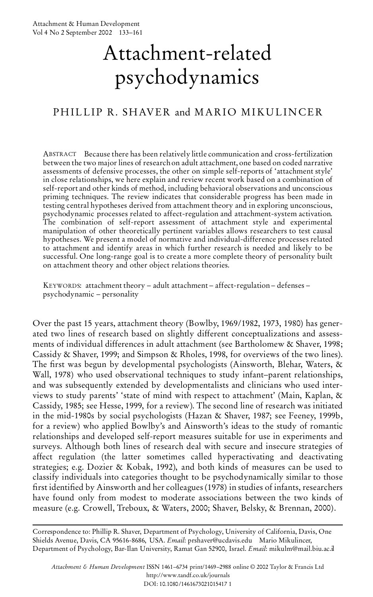# Attachment-related psychodynamics

# PHILLIP R. SHAVER and MARIO MIKULINCER

ABSTRACT Because there has been relatively little communication and cross-fertilization between the two major lines of research on adult attachment, one based on coded narrative assessments of defensive processes, the other on simple self-reports of 'attachment style' in close relationships, we here explain and review recent work based on a combination of self-report and other kinds of method, including behavioral observations and unconscious priming techniques. The review indicates that considerable progress has been made in testing central hypotheses derived from attachment theory and in exploring unconscious, psychodynamic processes related to affect-regulation and attachment-system activation. The combination of self-report assessment of attachment style and experimental manipulation of other theoretically pertinent variables allows researchers to test causal hypotheses. We present a model of normative and individual-difference processes related to attachment and identify areas in which further research is needed and likely to be successful. One long-range goal is to create a more complete theory of personality built on attachment theory and other object relations theories.

KEYWORDS: attachment theory – adult attachment – affect-regulation – defenses – psychodynamic – personality

Over the past 15 years, attachment theory (Bowlby, 1969/1982, 1973, 1980) has gener ated two lines of research based on slightly different conceptualizations and assess ments of individual differences in adult attachment (see Bartholomew & Shaver, 1998; Cassidy & Shaver, 1999; and Simpson & Rholes, 1998, for overviews of the two lines). The first was begun by developmental psychologists (Ainsworth, Blehar, Waters,  $\&$ Wall, 1978) who used observational techniques to study infant–parent relationships, and was subsequently extended by developmentalists and clinicians who used inter views to study parents' 'state of mind with respect to attachment' (Main, Kaplan, & Cassidy, 1985; see Hesse, 1999, for a review). The second line of research was initiated in the mid-1980s by social psychologists (Hazan & Shaver, 1987; see Feeney, 1999b, for a review) who applied Bowlby's and Ainsworth's ideas to the study of romantic relationships and developed self-report measures suitable for use in experiments and surveys. Although both lines of research deal with secure and insecure strategies of affect regulation (the latter sometimes called hyperactivating and deactivating strategies; e.g. Dozier & Kobak, 1992), and both kinds of measures can be used to classify individuals into categories thought to be psychodynamically similar to those first identified by Ainsworth and her colleagues (1978) in studies of infants, researchers have found only from modest to moderate associations between the two kinds of measure (e.g. Crowell, Treboux, & Waters, 2000; Shaver, Belsky, & Brennan, 2000).

Correspondence to: Phillip R. Shaver, Department of Psychology, University of California, Davis, One Shields Avenue, Davis, CA 95616-8686, USA. *Email*: prshaver@ucdavis.edu Mario Mikulincer, Department of Psychology, Bar-Ilan University, Ramat Gan 52900, Israel. *Email*: mikulm@mail.biu.ac.il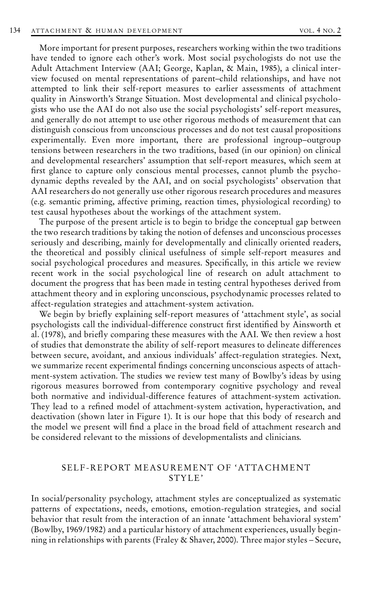More important for present purposes, researchers working within the two traditions have tended to ignore each other's work. Most social psychologists do not use the Adult Attachment Interview (AAI; George, Kaplan, & Main, 1985), a clinical inter view focused on mental representations of parent–child relationships, and have not attempted to link their self-report measures to earlier assessments of attachment quality in Ainsworth's Strange Situation. Most developmental and clinical psycholo gists who use the AAI do not also use the social psychologists' self-report measures, and generally do not attempt to use other rigorous methods of measurement that can distinguish conscious from unconscious processes and do not test causal propositions experimentally. Even more important, there are professional ingroup–outgroup tensions between researchers in the two traditions, based (in our opinion) on clinical and developmental researchers' assumption that self-report measures, which seem at first glance to capture only conscious mental processes, cannot plumb the psychodynamic depths revealed by the AAI, and on social psychologists' observation that AAI researchers do not generally use other rigorous research procedures and measures (e.g. semantic priming, affective priming, reaction times, physiological recording) to test causal hypotheses about the workings of the attachment system.

The purpose of the present article is to begin to bridge the conceptual gap between the two research traditions by taking the notion of defenses and unconscious processes seriously and describing, mainly for developmentally and clinically oriented readers, the theoretical and possibly clinical usefulness of simple self-report measures and social psychological procedures and measures. Specifically, in this article we review recent work in the social psychological line of research on adult attachment to document the progress that has been made in testing central hypotheses derived from attachment theory and in exploring unconscious, psychodynamic processes related to affect-regulation strategies and attachment-system activation.

We begin by briefly explaining self-report measures of 'attachment style', as social psychologists call the individual-difference construct first identified by Ainsworth et al. (1978), and briefly comparing these measures with the AAI. We then review a host of studies that demonstrate the ability of self-report measures to delineate differences between secure, avoidant, and anxious individuals' affect-regulation strategies. Next, we summarize recent experimental findings concerning unconscious aspects of attachment-system activation. The studies we review test many of Bowlby's ideas by using rigorous measures borrowed from contemporary cognitive psychology and reveal both normative and individual-difference features of attachment-system activation. They lead to a refined model of attachment-system activation, hyperactivation, and deactivation (shown later in Figure 1). It is our hope that this body of research and the model we present will find a place in the broad field of attachment research and be considered relevant to the missions of developmentalists and clinicians.

# SELF-REPORT MEASUREMENT OF 'ATTACHMENT STYLE'

In social/personality psychology, attachment styles are conceptualized as systematic patterns of expectations, needs, emotions, emotion-regulation strategies, and social behavior that result from the interaction of an innate 'attachment behavioral system' (Bowlby, 1969/1982) and a particular history of attachment experiences, usually begin ning in relationships with parents (Fraley & Shaver, 2000). Three major styles – Secure,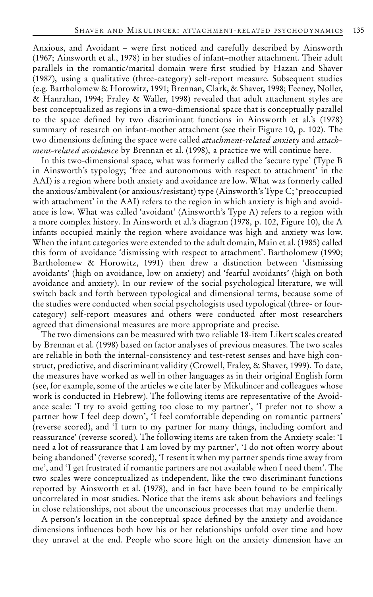Anxious, and Avoidant – were first noticed and carefully described by Ainsworth (1967; Ainsworth et al., 1978) in her studies of infant–mother attachment. Their adult parallels in the romantic/marital domain were first studied by Hazan and Shaver (1987), using a qualitative (three-category) self-report measure. Subsequent studies (e.g. Bartholomew & Horowitz, 1991; Brennan, Clark, & Shaver, 1998; Feeney, Noller, & Hanrahan, 1994; Fraley & Waller, 1998) revealed that adult attachment styles are best conceptualized as regions in a two-dimensional space that is conceptually parallel to the space defined by two discriminant functions in Ainsworth et al.'s (1978) summary of research on infant-mother attachment (see their Figure 10, p. 102). The two dimensions defining the space were called *attachment-related anxiety* and *attachment-related avoidance* by Brennan et al. (1998), a practice we will continue here.

In this two-dimensional space, what was formerly called the 'secure type' (Type B in Ainsworth's typology; 'free and autonomous with respect to attachment' in the AAI) is a region where both anxiety and avoidance are low. What was formerly called the anxious/ambivalent (or anxious/resistant) type (Ainsworth's Type C; 'preoccupied with attachment' in the AAI) refers to the region in which anxiety is high and avoid ance is low. What was called 'avoidant' (Ainsworth's Type A) refers to a region with a more complex history. In Ainsworth et al.'s diagram (1978, p. 102, Figure 10), the A infants occupied mainly the region where avoidance was high and anxiety was low. When the infant categories were extended to the adult domain, Main et al. (1985) called this form of avoidance 'dismissing with respect to attachment'. Bartholomew (1990; Bartholomew & Horowitz, 1991) then drew a distinction between 'dismissing avoidants' (high on avoidance, low on anxiety) and 'fearful avoidants' (high on both avoidance and anxiety). In our review of the social psychological literature, we will switch back and forth between typological and dimensional terms, because some of the studies were conducted when social psychologists used typological (three- or four category) self-report measures and others were conducted after most researchers agreed that dimensional measures are more appropriate and precise.

The two dimensions can be measured with two reliable 18-item Likert scales created by Brennan et al. (1998) based on factor analyses of previous measures. The two scales are reliable in both the internal-consistency and test-retest senses and have high construct, predictive, and discriminant validity (Crowell, Fraley, & Shaver, 1999). To date, the measures have worked as well in other languages as in their original English form (see, for example, some of the articles we cite later by Mikulincer and colleagues whose work is conducted in Hebrew). The following items are representative of the Avoid ance scale: 'I try to avoid getting too close to my partner', 'I prefer not to show a partner how I feel deep down', 'I feel comfortable depending on romantic partners' (reverse scored), and 'I turn to my partner for many things, including comfort and reassurance' (reverse scored). The following items are taken from the Anxiety scale: 'I need a lot of reassurance that I am loved by my partner', 'I do not often worry about being abandoned' (reverse scored), 'I resent it when my partner spends time away from me', and 'I get frustrated if romantic partners are not available when I need them'. The two scales were conceptualized as independent, like the two discriminant functions reported by Ainsworth et al. (1978), and in fact have been found to be empirically uncorrelated in most studies. Notice that the items ask about behaviors and feelings in close relationships, not about the unconscious processes that may underlie them.

A person's location in the conceptual space defined by the anxiety and avoidance dimensions influences both how his or her relationships unfold over time and how they unravel at the end. People who score high on the anxiety dimension have an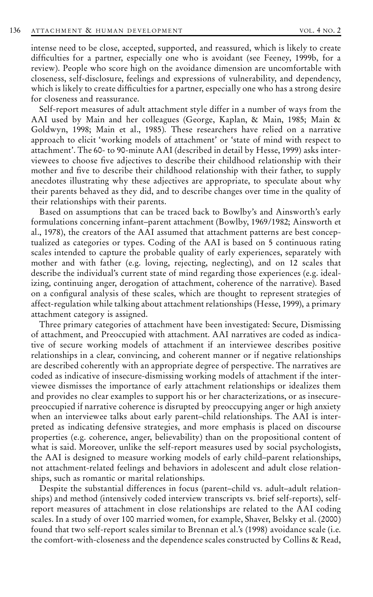intense need to be close, accepted, supported, and reassured, which is likely to create difculties for a partner, especially one who is avoidant (see Feeney, 1999b, for a review). People who score high on the avoidance dimension are uncomfortable with closeness, self-disclosure, feelings and expressions of vulnerability, and dependency, which is likely to create difficulties for a partner, especially one who has a strong desire for closeness and reassurance.

Self-report measures of adult attachment style differ in a number of ways from the AAI used by Main and her colleagues (George, Kaplan, & Main, 1985; Main & Goldwyn, 1998; Main et al., 1985). These researchers have relied on a narrative approach to elicit 'working models of attachment' or 'state of mind with respect to attachment'. The 60- to 90-minute AAI (described in detail by Hesse, 1999) asks inter viewees to choose five adjectives to describe their childhood relationship with their mother and five to describe their childhood relationship with their father, to supply anecdotes illustrating why these adjectives are appropriate, to speculate about why their parents behaved as they did, and to describe changes over time in the quality of their relationships with their parents.

Based on assumptions that can be traced back to Bowlby's and Ainsworth's early formulations concerning infant–parent attachment (Bowlby, 1969/1982; Ainsworth et al., 1978), the creators of the AAI assumed that attachment patterns are best conceptualized as categories or types. Coding of the AAI is based on 5 continuous rating scales intended to capture the probable quality of early experiences, separately with mother and with father (e.g. loving, rejecting, neglecting), and on 12 scales that describe the individual's current state of mind regarding those experiences (e.g. idealizing, continuing anger, derogation of attachment, coherence of the narrative). Based on a configural analysis of these scales, which are thought to represent strategies of affect-regulation while talking about attachment relationships (Hesse, 1999), a primary attachment category is assigned.

Three primary categories of attachment have been investigated: Secure, Dismissing of attachment, and Preoccupied with attachment. AAI narratives are coded as indicative of secure working models of attachment if an interviewee describes positive relationships in a clear, convincing, and coherent manner or if negative relationships are described coherently with an appropriate degree of perspective. The narratives are coded as indicative of insecure-dismissing working models of attachment if the inter viewee dismisses the importance of early attachment relationships or idealizes them and provides no clear examples to support his or her characterizations, or as insecure preoccupied if narrative coherence is disrupted by preoccupying anger or high anxiety when an interviewee talks about early parent–child relationships. The AAI is inter preted as indicating defensive strategies, and more emphasis is placed on discourse properties (e.g. coherence, anger, believability) than on the propositional content of what is said. Moreover, unlike the self-report measures used by social psychologists, the AAI is designed to measure working models of early child–parent relationships, not attachment-related feelings and behaviors in adolescent and adult close relationships, such as romantic or marital relationships.

Despite the substantial differences in focus (parent–child vs. adult–adult relationships) and method (intensively coded interview transcripts vs. brief self-reports), selfreport measures of attachment in close relationships are related to the AAI coding scales. In a study of over 100 married women, for example, Shaver, Belsky et al. (2000) found that two self-report scales similar to Brennan et al.'s (1998) avoidance scale (i.e. the comfort-with-closeness and the dependence scales constructed by Collins & Read,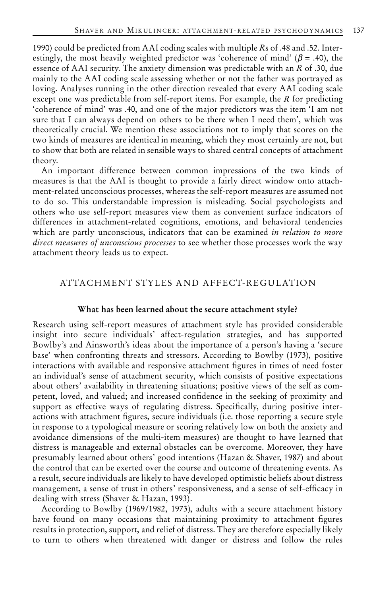1990) could be predicted from AAI coding scales with multiple *R*s of .48 and .52. Inter estingly, the most heavily weighted predictor was 'coherence of mind'  $(\beta = .40)$ , the essence of AAI security. The anxiety dimension was predictable with an *R* of .30, due mainly to the AAI coding scale assessing whether or not the father was portrayed as loving. Analyses running in the other direction revealed that every AAI coding scale except one was predictable from self-report items. For example, the *R* for predicting 'coherence of mind' was .40, and one of the major predictors was the item 'I am not sure that I can always depend on others to be there when I need them', which was theoretically crucial. We mention these associations not to imply that scores on the two kinds of measures are identical in meaning, which they most certainly are not, but to show that both are related in sensible ways to shared central concepts of attachment theory.

An important difference between common impressions of the two kinds of measures is that the AAI is thought to provide a fairly direct window onto attach ment-related unconscious processes, whereas the self-report measures are assumed not to do so. This understandable impression is misleading. Social psychologists and others who use self-report measures view them as convenient surface indicators of differences in attachment-related cognitions, emotions, and behavioral tendencies which are partly unconscious, indicators that can be examined *in relation to more direct measures of unconscious processes* to see whether those processes work the way attachment theory leads us to expect.

#### ATTACHMENT STYLES AND AFFECT-REGULATION

#### **What has been learned about the secure attachment style?**

Research using self-report measures of attachment style has provided considerable insight into secure individuals' affect-regulation strategies, and has supported Bowlby's and Ainsworth's ideas about the importance of a person's having a 'secure base' when confronting threats and stressors. According to Bowlby (1973), positive interactions with available and responsive attachment figures in times of need foster an individual's sense of attachment security, which consists of positive expectations about others' availability in threatening situations; positive views of the self as com petent, loved, and valued; and increased condence in the seeking of proximity and support as effective ways of regulating distress. Specifically, during positive interactions with attachment figures, secure individuals (i.e. those reporting a secure style in response to a typological measure or scoring relatively low on both the anxiety and avoidance dimensions of the multi-item measures) are thought to have learned that distress is manageable and external obstacles can be overcome. Moreover, they have presumably learned about others' good intentions (Hazan & Shaver, 1987) and about the control that can be exerted over the course and outcome of threatening events. As a result, secure individuals are likely to have developed optimistic beliefs about distress management, a sense of trust in others' responsiveness, and a sense of self-efficacy in dealing with stress (Shaver & Hazan, 1993).

According to Bowlby (1969/1982, 1973), adults with a secure attachment history have found on many occasions that maintaining proximity to attachment figures results in protection, support, and relief of distress. They are therefore especially likely to turn to others when threatened with danger or distress and follow the rules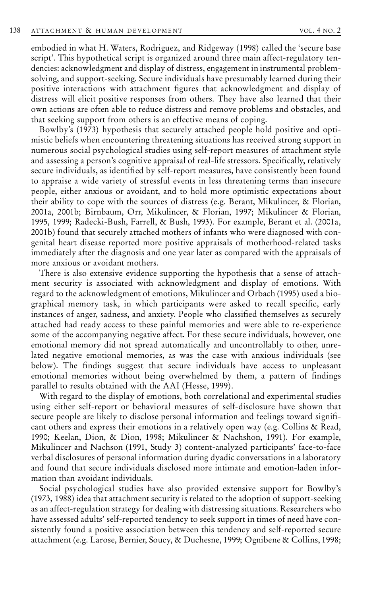embodied in what H. Waters, Rodriguez, and Ridgeway (1998) called the 'secure base script'. This hypothetical script is organized around three main affect-regulatory ten dencies: acknowledgment and display of distress, engagement in instrumental problemsolving, and support-seeking. Secure individuals have presumably learned during their positive interactions with attachment figures that acknowledgment and display of distress will elicit positive responses from others. They have also learned that their own actions are often able to reduce distress and remove problems and obstacles, and that seeking support from others is an effective means of coping.

Bowlby's (1973) hypothesis that securely attached people hold positive and opti mistic beliefs when encountering threatening situations has received strong support in numerous social psychological studies using self-report measures of attachment style and assessing a person's cognitive appraisal of real-life stressors. Specifically, relatively secure individuals, as identified by self-report measures, have consistently been found to appraise a wide variety of stressful events in less threatening terms than insecure people, either anxious or avoidant, and to hold more optimistic expectations about their ability to cope with the sources of distress (e.g. Berant, Mikulincer, & Florian, 2001a, 2001b; Birnbaum, Orr, Mikulincer, & Florian, 1997; Mikulincer & Florian, 1995, 1999; Radecki-Bush, Farrell, & Bush, 1993). For example, Berant et al. (2001a, 2001b) found that securely attached mothers of infants who were diagnosed with con genital heart disease reported more positive appraisals of motherhood-related tasks immediately after the diagnosis and one year later as compared with the appraisals of more anxious or avoidant mothers.

There is also extensive evidence supporting the hypothesis that a sense of attach ment security is associated with acknowledgment and display of emotions. With regard to the acknowledgment of emotions, Mikulincer and Orbach (1995) used a bio graphical memory task, in which participants were asked to recall specific, early instances of anger, sadness, and anxiety. People who classified themselves as securely attached had ready access to these painful memories and were able to re-experience some of the accompanying negative affect. For these secure individuals, however, one emotional memory did not spread automatically and uncontrollably to other, unrelated negative emotional memories, as was the case with anxious individuals (see below). The findings suggest that secure individuals have access to unpleasant emotional memories without being overwhelmed by them, a pattern of findings parallel to results obtained with the AAI (Hesse, 1999).

With regard to the display of emotions, both correlational and experimental studies using either self-report or behavioral measures of self-disclosure have shown that secure people are likely to disclose personal information and feelings toward significant others and express their emotions in a relatively open way (e.g. Collins & Read, 1990; Keelan, Dion, & Dion, 1998; Mikulincer & Nachshon, 1991). For example, Mikulincer and Nachson (1991, Study 3) content-analyzed participants' face-to-face verbal disclosures of personal information during dyadic conversations in a laboratory and found that secure individuals disclosed more intimate and emotion-laden infor mation than avoidant individuals.

Social psychological studies have also provided extensive support for Bowlby's (1973, 1988) idea that attachment security is related to the adoption of support-seeking as an affect-regulation strategy for dealing with distressing situations. Researchers who have assessed adults' self-reported tendency to seek support in times of need have consistently found a positive association between this tendency and self-reported secure attachment (e.g. Larose, Bernier, Soucy, & Duchesne, 1999; Ognibene & Collins, 1998;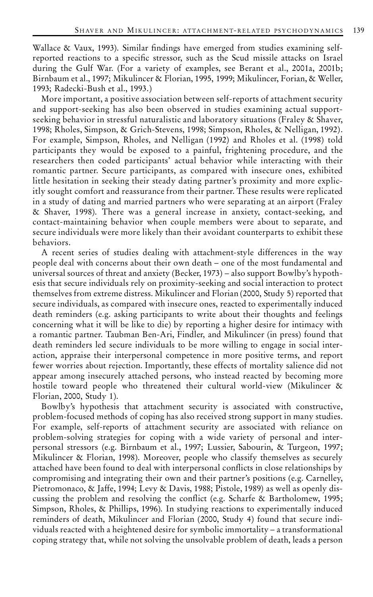Wallace & Vaux, 1993). Similar findings have emerged from studies examining selfreported reactions to a specific stressor, such as the Scud missile attacks on Israel during the Gulf War. (For a variety of examples, see Berant et al., 2001a, 2001b; Birnbaum et al., 1997; Mikulincer & Florian, 1995, 1999; Mikulincer, Forian, & Weller, 1993; Radecki-Bush et al., 1993.)

More important, a positive association between self-reports of attachment security and support-seeking has also been observed in studies examining actual supportseeking behavior in stressful naturalistic and laboratory situations (Fraley & Shaver, 1998; Rholes, Simpson, & Grich-Stevens, 1998; Simpson, Rholes, & Nelligan, 1992). For example, Simpson, Rholes, and Nelligan (1992) and Rholes et al. (1998) told participants they would be exposed to a painful, frightening procedure, and the researchers then coded participants' actual behavior while interacting with their romantic partner. Secure participants, as compared with insecure ones, exhibited little hesitation in seeking their steady dating partner's proximity and more explicitly sought comfort and reassurance from their partner. These results were replicated in a study of dating and married partners who were separating at an airport (Fraley & Shaver, 1998). There was a general increase in anxiety, contact-seeking, and contact-maintaining behavior when couple members were about to separate, and secure individuals were more likely than their avoidant counterparts to exhibit these behaviors.

A recent series of studies dealing with attachment-style differences in the way people deal with concerns about their own death – one of the most fundamental and universal sources of threat and anxiety (Becker, 1973) – also support Bowlby's hypoth esis that secure individuals rely on proximity-seeking and social interaction to protect themselves from extreme distress. Mikulincer and Florian (2000, Study 5) reported that secure individuals, as compared with insecure ones, reacted to experimentally induced death reminders (e.g. asking participants to write about their thoughts and feelings concerning what it will be like to die) by reporting a higher desire for intimacy with a romantic partner. Taubman Ben-Ari, Findler, and Mikulincer (in press) found that death reminders led secure individuals to be more willing to engage in social inter action, appraise their interpersonal competence in more positive terms, and report fewer worries about rejection. Importantly, these effects of mortality salience did not appear among insecurely attached persons, who instead reacted by becoming more hostile toward people who threatened their cultural world-view (Mikulincer & Florian, 2000, Study 1).

Bowlby's hypothesis that attachment security is associated with constructive, problem-focused methods of coping has also received strong support in many studies. For example, self-reports of attachment security are associated with reliance on problem-solving strategies for coping with a wide variety of personal and inter personal stressors (e.g. Birnbaum et al., 1997; Lussier, Sabourin, & Turgeon, 1997; Mikulincer & Florian, 1998). Moreover, people who classify themselves as securely attached have been found to deal with interpersonal conflicts in close relationships by compromising and integrating their own and their partner's positions (e.g. Carnelley, Pietromonaco, & Jaffe, 1994; Levy & Davis, 1988; Pistole, 1989) as well as openly dis cussing the problem and resolving the conflict (e.g. Scharfe & Bartholomew, 1995; Simpson, Rholes, & Phillips, 1996). In studying reactions to experimentally induced reminders of death, Mikulincer and Florian (2000, Study 4) found that secure indi viduals reacted with a heightened desire for symbolic immortality – a transformational coping strategy that, while not solving the unsolvable problem of death, leads a person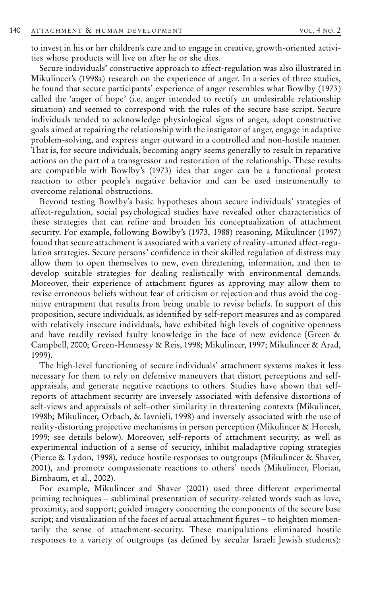to invest in his or her children's care and to engage in creative, growth-oriented activities whose products will live on after he or she dies.

Secure individuals' constructive approach to affect-regulation was also illustrated in Mikulincer's (1998a) research on the experience of anger. In a series of three studies, he found that secure participants' experience of anger resembles what Bowlby (1973) called the 'anger of hope' (i.e. anger intended to rectify an undesirable relationship situation) and seemed to correspond with the rules of the secure base script. Secure individuals tended to acknowledge physiological signs of anger, adopt constructive goals aimed at repairing the relationship with the instigator of anger, engage in adaptive problem-solving, and express anger outward in a controlled and non-hostile manner. That is, for secure individuals, becoming angry seems generally to result in reparative actions on the part of a transgressor and restoration of the relationship. These results are compatible with Bowlby's (1973) idea that anger can be a functional protest reaction to other people's negative behavior and can be used instrumentally to overcome relational obstructions.

Beyond testing Bowlby's basic hypotheses about secure individuals' strategies of affect-regulation, social psychological studies have revealed other characteristics of these strategies that can refine and broaden his conceptualization of attachment security. For example, following Bowlby's (1973, 1988) reasoning, Mikulincer (1997) found that secure attachment is associated with a variety of reality-attuned affect-regulation strategies. Secure persons' confidence in their skilled regulation of distress may allow them to open themselves to new, even threatening, information, and then to develop suitable strategies for dealing realistically with environmental demands. Moreover, their experience of attachment figures as approving may allow them to revise erroneous beliefs without fear of criticism or rejection and thus avoid the cog nitive entrapment that results from being unable to revise beliefs. In support of this proposition, secure individuals, as identified by self-report measures and as compared with relatively insecure individuals, have exhibited high levels of cognitive openness and have readily revised faulty knowledge in the face of new evidence (Green & Campbell, 2000; Green-Hennessy & Reis, 1998; Mikulincer, 1997; Mikulincer & Arad, 1999).

The high-level functioning of secure individuals' attachment systems makes it less necessary for them to rely on defensive maneuvers that distort perceptions and self appraisals, and generate negative reactions to others. Studies have shown that selfreports of attachment security are inversely associated with defensive distortions of self-views and appraisals of self–other similarity in threatening contexts (Mikulincer, 1998b; Mikulincer, Orbach, & Iavnieli, 1998) and inversely associated with the use of reality-distorting projective mechanisms in person perception (Mikulincer & Horesh, 1999; see details below). Moreover, self-reports of attachment security, as well as experimental induction of a sense of security, inhibit maladaptive coping strategies (Pierce & Lydon, 1998), reduce hostile responses to outgroups (Mikulincer & Shaver, 2001), and promote compassionate reactions to others' needs (Mikulincer, Florian, Birnbaum, et al., 2002).

For example, Mikulincer and Shaver (2001) used three different experimental priming techniques – subliminal presentation of security-related words such as love, proximity, and support; guided imagery concerning the components of the secure base script; and visualization of the faces of actual attachment figures – to heighten momentarily the sense of attachment-security. These manipulations eliminated hostile responses to a variety of outgroups (as defined by secular Israeli Jewish students):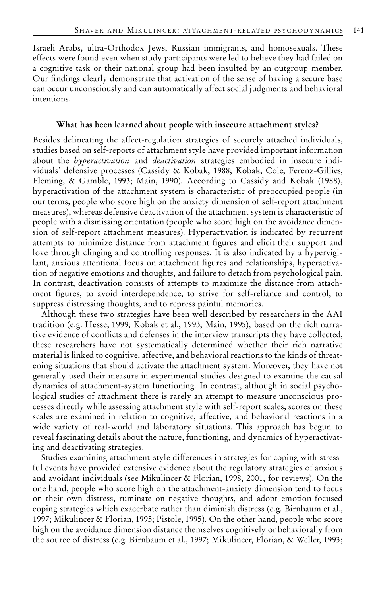Israeli Arabs, ultra-Orthodox Jews, Russian immigrants, and homosexuals. These effects were found even when study participants were led to believe they had failed on a cognitive task or their national group had been insulted by an outgroup member. Our findings clearly demonstrate that activation of the sense of having a secure base can occur unconsciously and can automatically affect social judgments and behavioral intentions.

## **What has been learned about people with insecure attachment styles?**

Besides delineating the affect-regulation strategies of securely attached individuals, studies based on self-reports of attachment style have provided important information about the *hyperactivation* and *deactivation* strategies embodied in insecure indi viduals' defensive processes (Cassidy & Kobak, 1988; Kobak, Cole, Ferenz-Gillies, Fleming, & Gamble, 1993; Main, 1990). According to Cassidy and Kobak (1988), hyperactivation of the attachment system is characteristic of preoccupied people (in our terms, people who score high on the anxiety dimension of self-report attachment measures), whereas defensive deactivation of the attachment system is characteristic of people with a dismissing orientation (people who score high on the avoidance dimension of self-report attachment measures). Hyperactivation is indicated by recurrent attempts to minimize distance from attachment gures and elicit their support and love through clinging and controlling responses. It is also indicated by a hypervigilant, anxious attentional focus on attachment gures and relationships, hyperactivation of negative emotions and thoughts, and failure to detach from psychological pain. In contrast, deactivation consists of attempts to maximize the distance from attach ment figures, to avoid interdependence, to strive for self-reliance and control, to suppress distressing thoughts, and to repress painful memories.

Although these two strategies have been well described by researchers in the AAI tradition (e.g. Hesse, 1999; Kobak et al., 1993; Main, 1995), based on the rich narrative evidence of conflicts and defenses in the interview transcripts they have collected, these researchers have not systematically determined whether their rich narrative material is linked to cognitive, affective, and behavioral reactions to the kinds of threat ening situations that should activate the attachment system. Moreover, they have not generally used their measure in experimental studies designed to examine the causal dynamics of attachment-system functioning. In contrast, although in social psychological studies of attachment there is rarely an attempt to measure unconscious pro cesses directly while assessing attachment style with self-report scales, scores on these scales are examined in relation to cognitive, affective, and behavioral reactions in a wide variety of real-world and laboratory situations. This approach has begun to reveal fascinating details about the nature, functioning, and dynamics of hyperactivating and deactivating strategies.

Studies examining attachment-style differences in strategies for coping with stressful events have provided extensive evidence about the regulatory strategies of anxious and avoidant individuals (see Mikulincer & Florian, 1998, 2001, for reviews). On the one hand, people who score high on the attachment-anxiety dimension tend to focus on their own distress, ruminate on negative thoughts, and adopt emotion-focused coping strategies which exacerbate rather than diminish distress (e.g. Birnbaum et al., 1997; Mikulincer & Florian, 1995; Pistole, 1995). On the other hand, people who score high on the avoidance dimension distance themselves cognitively or behaviorally from the source of distress (e.g. Birnbaum et al., 1997; Mikulincer, Florian, & Weller, 1993;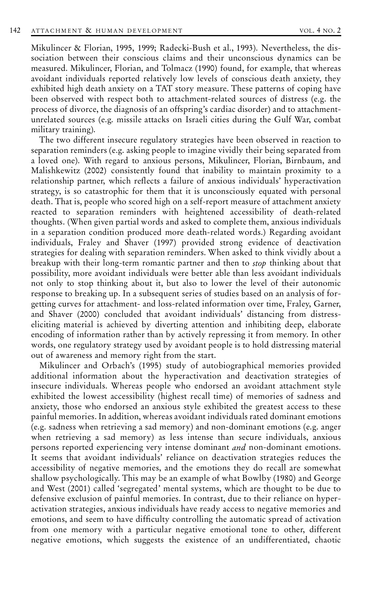Mikulincer & Florian, 1995, 1999; Radecki-Bush et al., 1993). Nevertheless, the dissociation between their conscious claims and their unconscious dynamics can be measured. Mikulincer, Florian, and Tolmacz (1990) found, for example, that whereas avoidant individuals reported relatively low levels of conscious death anxiety, they exhibited high death anxiety on a TAT story measure. These patterns of coping have been observed with respect both to attachment-related sources of distress (e.g. the process of divorce, the diagnosis of an offspring's cardiac disorder) and to attachment unrelated sources (e.g. missile attacks on Israeli cities during the Gulf War, combat military training).

The two different insecure regulatory strategies have been observed in reaction to separation reminders (e.g. asking people to imagine vividly their being separated from a loved one). With regard to anxious persons, Mikulincer, Florian, Birnbaum, and Malishkewitz (2002) consistently found that inability to maintain proximity to a relationship partner, which reflects a failure of anxious individuals' hyperactivation strategy, is so catastrophic for them that it is unconsciously equated with personal death. That is, people who scored high on a self-report measure of attachment anxiety reacted to separation reminders with heightened accessibility of death-related thoughts. (When given partial words and asked to complete them, anxious individuals in a separation condition produced more death-related words.) Regarding avoidant individuals, Fraley and Shaver (1997) provided strong evidence of deactivation strategies for dealing with separation reminders. When asked to think vividly about a breakup with their long-term romantic partner and then to *stop* thinking about that possibility, more avoidant individuals were better able than less avoidant individuals not only to stop thinking about it, but also to lower the level of their autonomic response to breaking up. In a subsequent series of studies based on an analysis of for getting curves for attachment- and loss-related information over time, Fraley, Garner, and Shaver (2000) concluded that avoidant individuals' distancing from distress eliciting material is achieved by diverting attention and inhibiting deep, elaborate encoding of information rather than by actively repressing it from memory. In other words, one regulatory strategy used by avoidant people is to hold distressing material out of awareness and memory right from the start.

Mikulincer and Orbach's (1995) study of autobiographical memories provided additional information about the hyperactivation and deactivation strategies of insecure individuals. Whereas people who endorsed an avoidant attachment style exhibited the lowest accessibility (highest recall time) of memories of sadness and anxiety, those who endorsed an anxious style exhibited the greatest access to these painful memories. In addition, whereas avoidant individuals rated dominant emotions (e.g. sadness when retrieving a sad memory) and non-dominant emotions (e.g. anger when retrieving a sad memory) as less intense than secure individuals, anxious persons reported experiencing very intense dominant *and* non-dominant emotions. It seems that avoidant individuals' reliance on deactivation strategies reduces the accessibility of negative memories, and the emotions they do recall are somewhat shallow psychologically. This may be an example of what Bowlby (1980) and George and West (2001) called 'segregated' mental systems, which are thought to be due to defensive exclusion of painful memories. In contrast, due to their reliance on hyper activation strategies, anxious individuals have ready access to negative memories and emotions, and seem to have difficulty controlling the automatic spread of activation from one memory with a particular negative emotional tone to other, different negative emotions, which suggests the existence of an undifferentiated, chaotic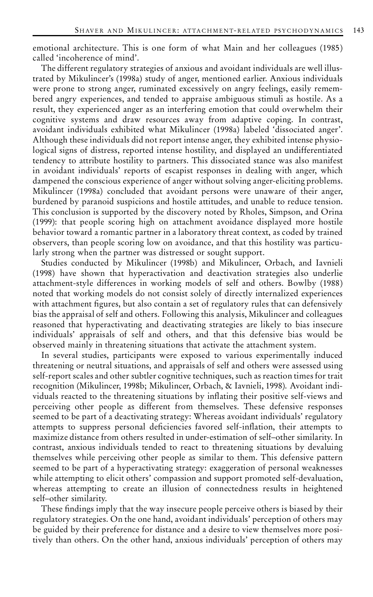emotional architecture. This is one form of what Main and her colleagues (1985) called 'incoherence of mind'.

The different regulatory strategies of anxious and avoidant individuals are well illustrated by Mikulincer's (1998a) study of anger, mentioned earlier. Anxious individuals were prone to strong anger, ruminated excessively on angry feelings, easily remem bered angry experiences, and tended to appraise ambiguous stimuli as hostile. As a result, they experienced anger as an interfering emotion that could overwhelm their cognitive systems and draw resources away from adaptive coping. In contrast, avoidant individuals exhibited what Mikulincer (1998a) labeled 'dissociated anger'. Although these individuals did not report intense anger, they exhibited intense physiological signs of distress, reported intense hostility, and displayed an undifferentiated tendency to attribute hostility to partners. This dissociated stance was also manifest in avoidant individuals' reports of escapist responses in dealing with anger, which dampened the conscious experience of anger without solving anger-eliciting problems. Mikulincer (1998a) concluded that avoidant persons were unaware of their anger, burdened by paranoid suspicions and hostile attitudes, and unable to reduce tension. This conclusion is supported by the discovery noted by Rholes, Simpson, and Orina (1999): that people scoring high on attachment avoidance displayed more hostile behavior toward a romantic partner in a laboratory threat context, as coded by trained observers, than people scoring low on avoidance, and that this hostility was particularly strong when the partner was distressed or sought support.

Studies conducted by Mikulincer (1998b) and Mikulincer, Orbach, and Iavnieli (1998) have shown that hyperactivation and deactivation strategies also underlie attachment-style differences in working models of self and others. Bowlby (1988) noted that working models do not consist solely of directly internalized experiences with attachment figures, but also contain a set of regulatory rules that can defensively bias the appraisal of self and others. Following this analysis, Mikulincer and colleagues reasoned that hyperactivating and deactivating strategies are likely to bias insecure individuals' appraisals of self and others, and that this defensive bias would be observed mainly in threatening situations that activate the attachment system.

In several studies, participants were exposed to various experimentally induced threatening or neutral situations, and appraisals of self and others were assessed using self-report scales and other subtler cognitive techniques, such as reaction times for trait recognition (Mikulincer, 1998b; Mikulincer, Orbach, & Iavnieli, 1998). Avoidant indi viduals reacted to the threatening situations by inflating their positive self-views and perceiving other people as different from themselves. These defensive responses seemed to be part of a deactivating strategy: Whereas avoidant individuals' regulatory attempts to suppress personal deficiencies favored self-inflation, their attempts to maximize distance from others resulted in under-estimation of self–other similarity. In contrast, anxious individuals tended to react to threatening situations by devaluing themselves while perceiving other people as similar to them. This defensive pattern seemed to be part of a hyperactivating strategy: exaggeration of personal weaknesses while attempting to elicit others' compassion and support promoted self-devaluation, whereas attempting to create an illusion of connectedness results in heightened self–other similarity.

These findings imply that the way insecure people perceive others is biased by their regulatory strategies. On the one hand, avoidant individuals' perception of others may be guided by their preference for distance and a desire to view themselves more positively than others. On the other hand, anxious individuals' perception of others may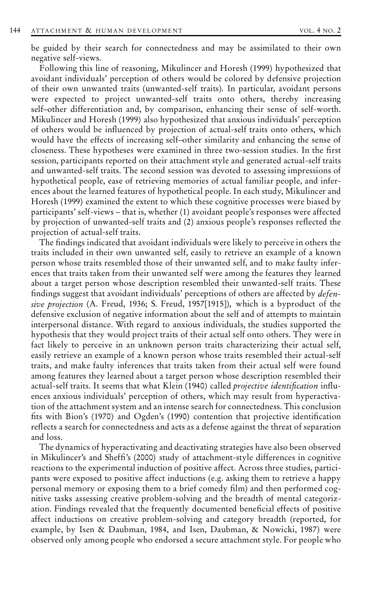be guided by their search for connectedness and may be assimilated to their own negative self-views.

Following this line of reasoning, Mikulincer and Horesh (1999) hypothesized that avoidant individuals' perception of others would be colored by defensive projection of their own unwanted traits (unwanted-self traits). In particular, avoidant persons were expected to project unwanted-self traits onto others, thereby increasing self–other differentiation and, by comparison, enhancing their sense of self-worth. Mikulincer and Horesh (1999) also hypothesized that anxious individuals' perception of others would be influenced by projection of actual-self traits onto others, which would have the effects of increasing self–other similarity and enhancing the sense of closeness. These hypotheses were examined in three two-session studies. In the first session, participants reported on their attachment style and generated actual-self traits and unwanted-self traits. The second session was devoted to assessing impressions of hypothetical people, ease of retrieving memories of actual familiar people, and infer ences about the learned features of hypothetical people. In each study, Mikulincer and Horesh (1999) examined the extent to which these cognitive processes were biased by participants' self-views – that is, whether (1) avoidant people's responses were affected by projection of unwanted-self traits and (2) anxious people's responses reflected the projection of actual-self traits.

The findings indicated that avoidant individuals were likely to perceive in others the traits included in their own unwanted self, easily to retrieve an example of a known person whose traits resembled those of their unwanted self, and to make faulty infer ences that traits taken from their unwanted self were among the features they learned about a target person whose description resembled their unwanted-self traits. These ndings suggest that avoidant individuals' perceptions of others are affected by *defensive projection* (A. Freud, 1936; S. Freud, 1957[1915]), which is a byproduct of the defensive exclusion of negative information about the self and of attempts to maintain interpersonal distance. With regard to anxious individuals, the studies supported the hypothesis that they would project traits of their actual self onto others. They were in fact likely to perceive in an unknown person traits characterizing their actual self, easily retrieve an example of a known person whose traits resembled their actual-self traits, and make faulty inferences that traits taken from their actual self were found among features they learned about a target person whose description resembled their actual-self traits. It seems that what Klein (1940) called *projective identification* influences anxious individuals' perception of others, which may result from hyperactivation of the attachment system and an intense search for connectedness. This conclusion fits with Bion's (1970) and Ogden's (1990) contention that projective identification reflects a search for connectedness and acts as a defense against the threat of separation and loss.

The dynamics of hyperactivating and deactivating strategies have also been observed in Mikulincer's and Sheffi's (2000) study of attachment-style differences in cognitive reactions to the experimental induction of positive affect. Across three studies, partici pants were exposed to positive affect inductions (e.g. asking them to retrieve a happy personal memory or exposing them to a brief comedy lm) and then performed cog nitive tasks assessing creative problem-solving and the breadth of mental categoriz ation. Findings revealed that the frequently documented benecial effects of positive affect inductions on creative problem-solving and category breadth (reported, for example, by Isen & Daubman, 1984, and Isen, Daubman, & Nowicki, 1987) were observed only among people who endorsed a secure attachment style. For people who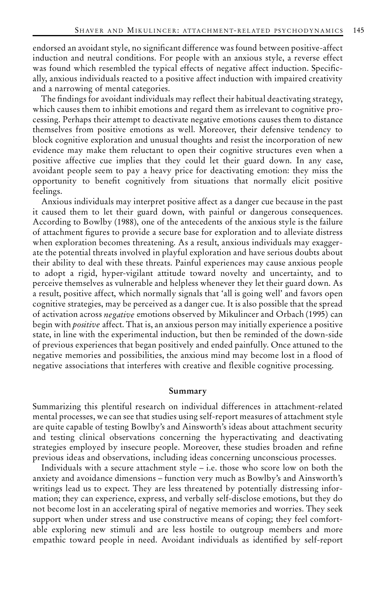endorsed an avoidant style, no significant difference was found between positive-affect induction and neutral conditions. For people with an anxious style, a reverse effect was found which resembled the typical effects of negative affect induction. Specifically, anxious individuals reacted to a positive affect induction with impaired creativity and a narrowing of mental categories.

The findings for avoidant individuals may reflect their habitual deactivating strategy, which causes them to inhibit emotions and regard them as irrelevant to cognitive pro cessing. Perhaps their attempt to deactivate negative emotions causes them to distance themselves from positive emotions as well. Moreover, their defensive tendency to block cognitive exploration and unusual thoughts and resist the incorporation of new evidence may make them reluctant to open their cognitive structures even when a positive affective cue implies that they could let their guard down. In any case, avoidant people seem to pay a heavy price for deactivating emotion: they miss the opportunity to benefit cognitively from situations that normally elicit positive feelings.

Anxious individuals may interpret positive affect as a danger cue because in the past it caused them to let their guard down, with painful or dangerous consequences. According to Bowlby (1988), one of the antecedents of the anxious style is the failure of attachment gures to provide a secure base for exploration and to alleviate distress when exploration becomes threatening. As a result, anxious individuals may exagger ate the potential threats involved in playful exploration and have serious doubts about their ability to deal with these threats. Painful experiences may cause anxious people to adopt a rigid, hyper-vigilant attitude toward novelty and uncertainty, and to perceive themselves as vulnerable and helpless whenever they let their guard down. As a result, positive affect, which normally signals that 'all is going well' and favors open cognitive strategies, may be perceived as a danger cue. It is also possible that the spread of activation across *negative* emotions observed by Mikulincer and Orbach (1995) can begin with *positive* affect. That is, an anxious person may initially experience a positive state, in line with the experimental induction, but then be reminded of the down-side of previous experiences that began positively and ended painfully. Once attuned to the negative memories and possibilities, the anxious mind may become lost in a flood of negative associations that interferes with creative and flexible cognitive processing.

#### **Summary**

Summarizing this plentiful research on individual differences in attachment-related mental processes, we can see that studies using self-report measures of attachment style are quite capable of testing Bowlby's and Ainsworth's ideas about attachment security and testing clinical observations concerning the hyperactivating and deactivating strategies employed by insecure people. Moreover, these studies broaden and refine previous ideas and observations, including ideas concerning unconscious processes.

Individuals with a secure attachment style – i.e. those who score low on both the anxiety and avoidance dimensions – function very much as Bowlby's and Ainsworth's writings lead us to expect. They are less threatened by potentially distressing infor mation; they can experience, express, and verbally self-disclose emotions, but they do not become lost in an accelerating spiral of negative memories and worries. They seek support when under stress and use constructive means of coping; they feel comfort able exploring new stimuli and are less hostile to outgroup members and more empathic toward people in need. Avoidant individuals as identified by self-report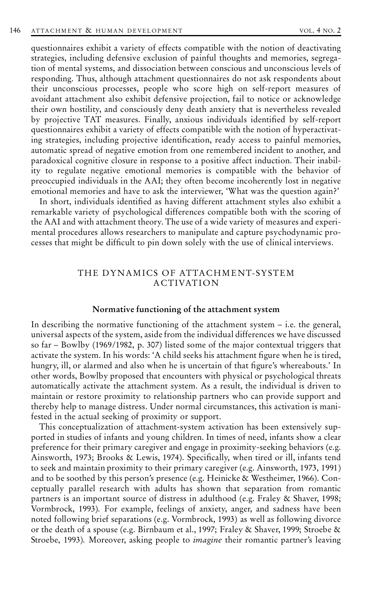questionnaires exhibit a variety of effects compatible with the notion of deactivating strategies, including defensive exclusion of painful thoughts and memories, segregation of mental systems, and dissociation between conscious and unconscious levels of responding. Thus, although attachment questionnaires do not ask respondents about their unconscious processes, people who score high on self-report measures of avoidant attachment also exhibit defensive projection, fail to notice or acknowledge their own hostility, and consciously deny death anxiety that is nevertheless revealed by projective TAT measures. Finally, anxious individuals identified by self-report questionnaires exhibit a variety of effects compatible with the notion of hyperactivating strategies, including projective identification, ready access to painful memories, automatic spread of negative emotion from one remembered incident to another, and paradoxical cognitive closure in response to a positive affect induction. Their inability to regulate negative emotional memories is compatible with the behavior of preoccupied individuals in the AAI; they often become incoherently lost in negative emotional memories and have to ask the interviewer, 'What was the question again?'

In short, individuals identified as having different attachment styles also exhibit a remarkable variety of psychological differences compatible both with the scoring of the AAI and with attachment theory. The use of a wide variety of measures and experi mental procedures allows researchers to manipulate and capture psychodynamic pro cesses that might be difcult to pin down solely with the use of clinical interviews.

# THE DYNAMICS OF ATTACHMENT-SYSTEM ACTIVATION

# **Normative functioning of the attachment system**

In describing the normative functioning of the attachment system – i.e. the general, universal aspects of the system, aside from the individual differences we have discussed so far – Bowlby (1969/1982, p. 307) listed some of the major contextual triggers that activate the system. In his words: 'A child seeks his attachment figure when he is tired, hungry, ill, or alarmed and also when he is uncertain of that figure's whereabouts.' In other words, Bowlby proposed that encounters with physical or psychological threats automatically activate the attachment system. As a result, the individual is driven to maintain or restore proximity to relationship partners who can provide support and thereby help to manage distress. Under normal circumstances, this activation is manifested in the actual seeking of proximity or support.

This conceptualization of attachment-system activation has been extensively sup ported in studies of infants and young children. In times of need, infants show a clear preference for their primary caregiver and engage in proximity-seeking behaviors (e.g. Ainsworth, 1973; Brooks & Lewis, 1974). Specifically, when tired or ill, infants tend to seek and maintain proximity to their primary caregiver (e.g. Ainsworth, 1973, 1991) and to be soothed by this person's presence (e.g. Heinicke & Westheimer, 1966). Con ceptually parallel research with adults has shown that separation from romantic partners is an important source of distress in adulthood (e.g. Fraley & Shaver, 1998; Vormbrock, 1993). For example, feelings of anxiety, anger, and sadness have been noted following brief separations (e.g. Vormbrock, 1993) as well as following divorce or the death of a spouse (e.g. Birnbaum et al., 1997; Fraley & Shaver, 1999; Stroebe & Stroebe, 1993). Moreover, asking people to *imagine* their romantic partner's leaving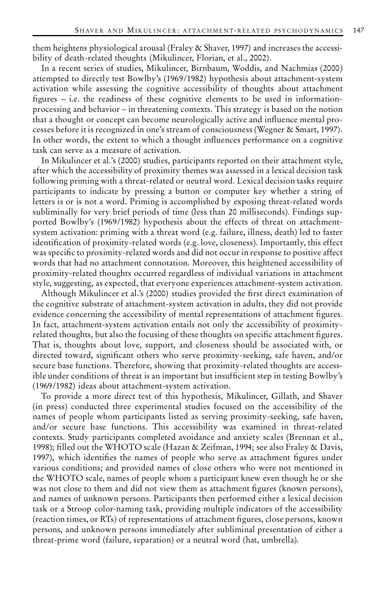them heightens physiological arousal (Fraley & Shaver, 1997) and increases the accessi bility of death-related thoughts (Mikulincer, Florian, et al., 2002).

In a recent series of studies, Mikulincer, Birnbaum, Woddis, and Nachmias (2000) attempted to directly test Bowlby's (1969/1982) hypothesis about attachment-system activation while assessing the cognitive accessibility of thoughts about attachment figures  $-$  i.e. the readiness of these cognitive elements to be used in informationprocessing and behavior – in threatening contexts. This strategy is based on the notion that a thought or concept can become neurologically active and influence mental processes before it is recognized in one's stream of consciousness (Wegner & Smart, 1997). In other words, the extent to which a thought influences performance on a cognitive task can serve as a measure of activation.

In Mikulincer et al.'s (2000) studies, participants reported on their attachment style, after which the accessibility of proximity themes was assessed in a lexical decision task following priming with a threat-related or neutral word. Lexical decision tasks require participants to indicate by pressing a button or computer key whether a string of letters is or is not a word. Priming is accomplished by exposing threat-related words subliminally for very brief periods of time (less than 20 milliseconds). Findings sup ported Bowlby's (1969/1982) hypothesis about the effects of threat on attachmentsystem activation: priming with a threat word (e.g. failure, illness, death) led to faster identification of proximity-related words (e.g. love, closeness). Importantly, this effect was specific to proximity-related words and did not occur in response to positive affect words that had no attachment connotation. Moreover, this heightened accessibility of proximity-related thoughts occurred regardless of individual variations in attachment style, suggesting, as expected, that everyone experiences attachment-system activation.

Although Mikulincer et al.'s (2000) studies provided the first direct examination of the cognitive substrate of attachment-system activation in adults, they did not provide evidence concerning the accessibility of mental representations of attachment figures. In fact, attachment-system activation entails not only the accessibility of proximityrelated thoughts, but also the focusing of these thoughts on specific attachment figures. That is, thoughts about love, support, and closeness should be associated with, or directed toward, significant others who serve proximity-seeking, safe haven, and/or secure base functions. Therefore, showing that proximity-related thoughts are accessible under conditions of threat is an important but insufficient step in testing Bowlby's (1969/1982) ideas about attachment-system activation.

To provide a more direct test of this hypothesis, Mikulincer, Gillath, and Shaver (in press) conducted three experimental studies focused on the accessibility of the names of people whom participants listed as serving proximity-seeking, safe haven, and/or secure base functions. This accessibility was examined in threat-related contexts. Study participants completed avoidance and anxiety scales (Brennan et al., 1998); filled out the WHOTO scale (Hazan & Zeifman, 1994; see also Fraley & Davis, 1997), which identifies the names of people who serve as attachment figures under various conditions; and provided names of close others who were not mentioned in the WHOTO scale, names of people whom a participant knew even though he or she was not close to them and did not view them as attachment figures (known persons), and names of unknown persons. Participants then performed either a lexical decision task or a Stroop color-naming task, providing multiple indicators of the accessibility (reaction times, or RTs) of representations of attachment figures, close persons, known persons, and unknown persons immediately after subliminal presentation of either a threat-prime word (failure, separation) or a neutral word (hat, umbrella).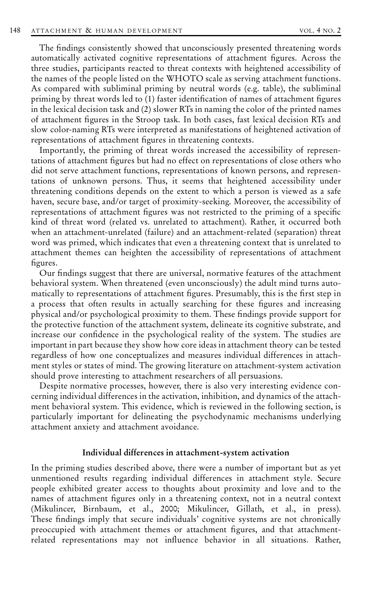The findings consistently showed that unconsciously presented threatening words automatically activated cognitive representations of attachment figures. Across the three studies, participants reacted to threat contexts with heightened accessibility of the names of the people listed on the WHOTO scale as serving attachment functions. As compared with subliminal priming by neutral words (e.g. table), the subliminal priming by threat words led to (1) faster identification of names of attachment figures in the lexical decision task and (2) slower RTs in naming the color of the printed names of attachment gures in the Stroop task. In both cases, fast lexical decision RTs and slow color-naming RTs were interpreted as manifestations of heightened activation of representations of attachment figures in threatening contexts.

Importantly, the priming of threat words increased the accessibility of representations of attachment gures but had no effect on representations of close others who did not serve attachment functions, representations of known persons, and representations of unknown persons. Thus, it seems that heightened accessibility under threatening conditions depends on the extent to which a person is viewed as a safe haven, secure base, and/or target of proximity-seeking. Moreover, the accessibility of representations of attachment figures was not restricted to the priming of a specific kind of threat word (related vs. unrelated to attachment). Rather, it occurred both when an attachment-unrelated (failure) and an attachment-related (separation) threat word was primed, which indicates that even a threatening context that is unrelated to attachment themes can heighten the accessibility of representations of attachment figures.

Our findings suggest that there are universal, normative features of the attachment behavioral system. When threatened (even unconsciously) the adult mind turns auto matically to representations of attachment figures. Presumably, this is the first step in a process that often results in actually searching for these figures and increasing physical and/or psychological proximity to them. These findings provide support for the protective function of the attachment system, delineate its cognitive substrate, and increase our confidence in the psychological reality of the system. The studies are important in part because they show how core ideas in attachment theory can be tested regardless of how one conceptualizes and measures individual differences in attach ment styles or states of mind. The growing literature on attachment-system activation should prove interesting to attachment researchers of all persuasions.

Despite normative processes, however, there is also very interesting evidence con cerning individual differences in the activation, inhibition, and dynamics of the attach ment behavioral system. This evidence, which is reviewed in the following section, is particularly important for delineating the psychodynamic mechanisms underlying attachment anxiety and attachment avoidance.

# **Individual differences in attachment-system activation**

In the priming studies described above, there were a number of important but as yet unmentioned results regarding individual differences in attachment style. Secure people exhibited greater access to thoughts about proximity and love and to the names of attachment figures only in a threatening context, not in a neutral context (Mikulincer, Birnbaum, et al., 2000; Mikulincer, Gillath, et al., in press). These findings imply that secure individuals' cognitive systems are not chronically preoccupied with attachment themes or attachment gures, and that attachmentrelated representations may not influence behavior in all situations. Rather,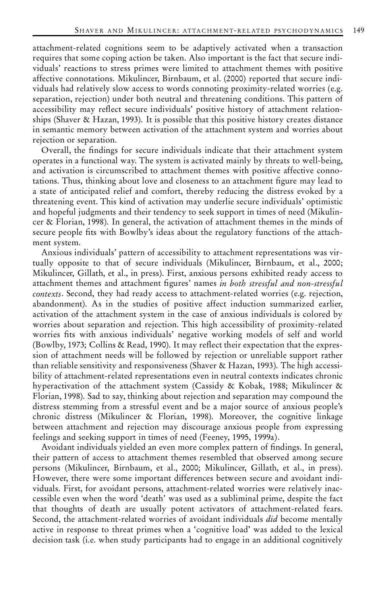attachment-related cognitions seem to be adaptively activated when a transaction requires that some coping action be taken. Also important is the fact that secure indi viduals' reactions to stress primes were limited to attachment themes with positive affective connotations. Mikulincer, Birnbaum, et al. (2000) reported that secure indi viduals had relatively slow access to words connoting proximity-related worries (e.g. separation, rejection) under both neutral and threatening conditions. This pattern of accessibility may reflect secure individuals' positive history of attachment relationships (Shaver & Hazan, 1993). It is possible that this positive history creates distance in semantic memory between activation of the attachment system and worries about rejection or separation.

Overall, the findings for secure individuals indicate that their attachment system operates in a functional way. The system is activated mainly by threats to well-being, and activation is circumscribed to attachment themes with positive affective connotations. Thus, thinking about love and closeness to an attachment figure may lead to a state of anticipated relief and comfort, thereby reducing the distress evoked by a threatening event. This kind of activation may underlie secure individuals' optimistic and hopeful judgments and their tendency to seek support in times of need (Mikulin cer & Florian, 1998). In general, the activation of attachment themes in the minds of secure people fits with Bowlby's ideas about the regulatory functions of the attachment system.

Anxious individuals' pattern of accessibility to attachment representations was virtually opposite to that of secure individuals (Mikulincer, Birnbaum, et al., 2000; Mikulincer, Gillath, et al., in press). First, anxious persons exhibited ready access to attachment themes and attachment figures' names *in both stressful and non-stressful contexts*. Second, they had ready access to attachment-related worries (e.g. rejection, abandonment). As in the studies of positive affect induction summarized earlier, activation of the attachment system in the case of anxious individuals is colored by worries about separation and rejection. This high accessibility of proximity-related worries fits with anxious individuals' negative working models of self and world (Bowlby, 1973; Collins & Read, 1990). It may reflect their expectation that the expression of attachment needs will be followed by rejection or unreliable support rather than reliable sensitivity and responsiveness (Shaver & Hazan, 1993). The high accessi bility of attachment-related representations even in neutral contexts indicates chronic hyperactivation of the attachment system (Cassidy & Kobak, 1988; Mikulincer & Florian, 1998). Sad to say, thinking about rejection and separation may compound the distress stemming from a stressful event and be a major source of anxious people's chronic distress (Mikulincer & Florian, 1998). Moreover, the cognitive linkage between attachment and rejection may discourage anxious people from expressing feelings and seeking support in times of need (Feeney, 1995, 1999a).

Avoidant individuals yielded an even more complex pattern of ndings. In general, their pattern of access to attachment themes resembled that observed among secure persons (Mikulincer, Birnbaum, et al., 2000; Mikulincer, Gillath, et al., in press). However, there were some important differences between secure and avoidant indi viduals. First, for avoidant persons, attachment-related worries were relatively inac cessible even when the word 'death' was used as a subliminal prime, despite the fact that thoughts of death are usually potent activators of attachment-related fears. Second, the attachment-related worries of avoidant individuals *did* become mentally active in response to threat primes when a 'cognitive load' was added to the lexical decision task (i.e. when study participants had to engage in an additional cognitively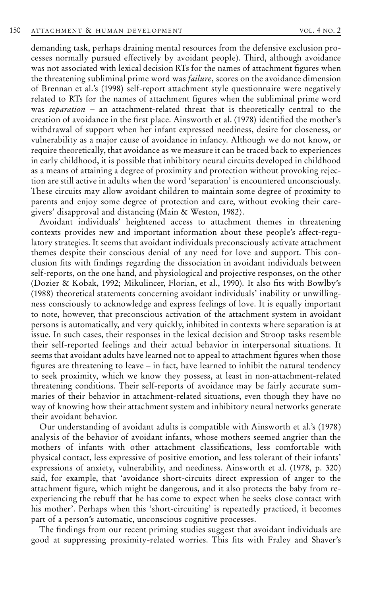demanding task, perhaps draining mental resources from the defensive exclusion pro cesses normally pursued effectively by avoidant people). Third, although avoidance was not associated with lexical decision RTs for the names of attachment figures when the threatening subliminal prime word was *failure*, scores on the avoidance dimension of Brennan et al.'s (1998) self-report attachment style questionnaire were negatively related to RTs for the names of attachment figures when the subliminal prime word was *separation* – an attachment-related threat that is theoretically central to the creation of avoidance in the first place. Ainsworth et al. (1978) identified the mother's withdrawal of support when her infant expressed neediness, desire for closeness, or vulnerability as a major cause of avoidance in infancy. Although we do not know, or require theoretically, that avoidance as we measure it can be traced back to experiences in early childhood, it is possible that inhibitory neural circuits developed in childhood as a means of attaining a degree of proximity and protection without provoking rejection are still active in adults when the word 'separation' is encountered unconsciously. These circuits may allow avoidant children to maintain some degree of proximity to parents and enjoy some degree of protection and care, without evoking their care givers' disapproval and distancing (Main & Weston, 1982).

Avoidant individuals' heightened access to attachment themes in threatening contexts provides new and important information about these people's affect-regulatory strategies. It seems that avoidant individuals preconsciously activate attachment themes despite their conscious denial of any need for love and support. This con clusion fits with findings regarding the dissociation in avoidant individuals between self-reports, on the one hand, and physiological and projective responses, on the other (Dozier & Kobak, 1992; Mikulincer, Florian, et al., 1990). It also fits with Bowlby's (1988) theoretical statements concerning avoidant individuals' inability or unwilling ness consciously to acknowledge and express feelings of love. It is equally important to note, however, that preconscious activation of the attachment system in avoidant persons is automatically, and very quickly, inhibited in contexts where separation is at issue. In such cases, their responses in the lexical decision and Stroop tasks resemble their self-reported feelings and their actual behavior in interpersonal situations. It seems that avoidant adults have learned not to appeal to attachment figures when those figures are threatening to leave – in fact, have learned to inhibit the natural tendency to seek proximity, which we know they possess, at least in non-attachment-related threatening conditions. Their self-reports of avoidance may be fairly accurate sum maries of their behavior in attachment-related situations, even though they have no way of knowing how their attachment system and inhibitory neural networks generate their avoidant behavior.

Our understanding of avoidant adults is compatible with Ainsworth et al.'s (1978) analysis of the behavior of avoidant infants, whose mothers seemed angrier than the mothers of infants with other attachment classifications, less comfortable with physical contact, less expressive of positive emotion, and less tolerant of their infants' expressions of anxiety, vulnerability, and neediness. Ainsworth et al. (1978, p. 320) said, for example, that 'avoidance short-circuits direct expression of anger to the attachment figure, which might be dangerous, and it also protects the baby from reexperiencing the rebuff that he has come to expect when he seeks close contact with his mother'. Perhaps when this 'short-circuiting' is repeatedly practiced, it becomes part of a person's automatic, unconscious cognitive processes.

The findings from our recent priming studies suggest that avoidant individuals are good at suppressing proximity-related worries. This fits with Fraley and Shaver's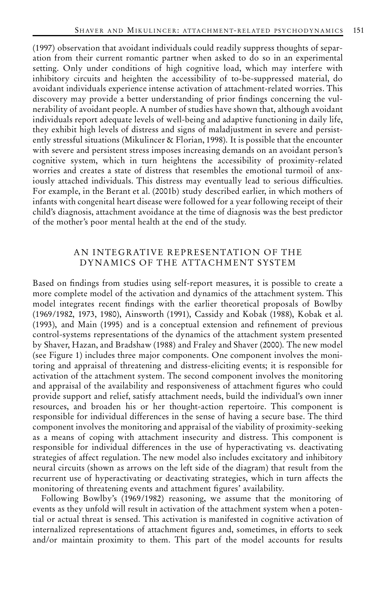(1997) observation that avoidant individuals could readily suppress thoughts of separ ation from their current romantic partner when asked to do so in an experimental setting. Only under conditions of high cognitive load, which may interfere with inhibitory circuits and heighten the accessibility of to-be-suppressed material, do avoidant individuals experience intense activation of attachment-related worries. This discovery may provide a better understanding of prior findings concerning the vulnerability of avoidant people. A number of studies have shown that, although avoidant individuals report adequate levels of well-being and adaptive functioning in daily life, they exhibit high levels of distress and signs of maladjustment in severe and persist ently stressful situations (Mikulincer & Florian, 1998). It is possible that the encounter with severe and persistent stress imposes increasing demands on an avoidant person's cognitive system, which in turn heightens the accessibility of proximity-related worries and creates a state of distress that resembles the emotional turmoil of anxiously attached individuals. This distress may eventually lead to serious difficulties. For example, in the Berant et al. (2001b) study described earlier, in which mothers of infants with congenital heart disease were followed for a year following receipt of their child's diagnosis, attachment avoidance at the time of diagnosis was the best predictor of the mother's poor mental health at the end of the study.

# AN INTEGRATIVE REPRESENTATION OF THE DYNAMICS OF THE ATTACHMENT SYSTEM

Based on findings from studies using self-report measures, it is possible to create a more complete model of the activation and dynamics of the attachment system. This model integrates recent findings with the earlier theoretical proposals of Bowlby (1969/1982, 1973, 1980), Ainsworth (1991), Cassidy and Kobak (1988), Kobak et al.  $(1993)$ , and Main  $(1995)$  and is a conceptual extension and refinement of previous control-systems representations of the dynamics of the attachment system presented by Shaver, Hazan, and Bradshaw (1988) and Fraley and Shaver (2000). The new model (see Figure 1) includes three major components. One component involves the monitoring and appraisal of threatening and distress-eliciting events; it is responsible for activation of the attachment system. The second component involves the monitoring and appraisal of the availability and responsiveness of attachment figures who could provide support and relief, satisfy attachment needs, build the individual's own inner resources, and broaden his or her thought-action repertoire. This component is responsible for individual differences in the sense of having a secure base. The third component involves the monitoring and appraisal of the viability of proximity-seeking as a means of coping with attachment insecurity and distress. This component is responsible for individual differences in the use of hyperactivating vs. deactivating strategies of affect regulation. The new model also includes excitatory and inhibitory neural circuits (shown as arrows on the left side of the diagram) that result from the recurrent use of hyperactivating or deactivating strategies, which in turn affects the monitoring of threatening events and attachment figures' availability.

Following Bowlby's (1969/1982) reasoning, we assume that the monitoring of events as they unfold will result in activation of the attachment system when a potential or actual threat is sensed. This activation is manifested in cognitive activation of internalized representations of attachment figures and, sometimes, in efforts to seek and/or maintain proximity to them. This part of the model accounts for results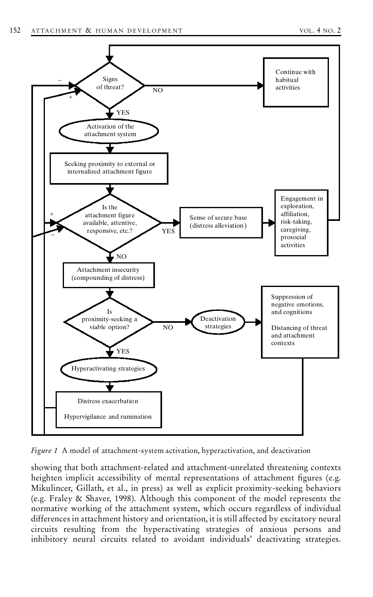

*Figure 1* A model of attachment-system activation, hyperactivation, and deactivation

showing that both attachment-related and attachment-unrelated threatening contexts heighten implicit accessibility of mental representations of attachment figures (e.g. Mikulincer, Gillath, et al., in press) as well as explicit proximity-seeking behaviors (e.g. Fraley & Shaver, 1998). Although this component of the model represents the normative working of the attachment system, which occurs regardless of individual differences in attachment history and orientation, it is still affected by excitatory neural circuits resulting from the hyperactivating strategies of anxious persons and inhibitory neural circuits related to avoidant individuals' deactivating strategies.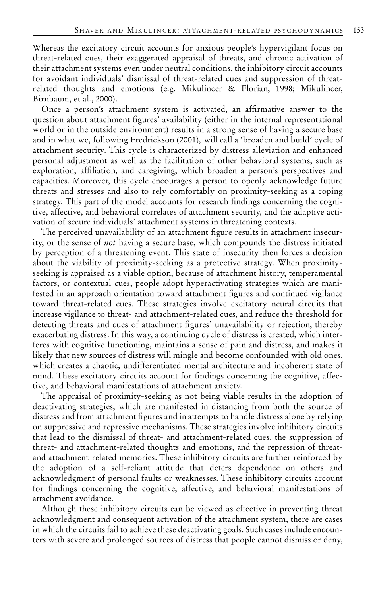Whereas the excitatory circuit accounts for anxious people's hypervigilant focus on threat-related cues, their exaggerated appraisal of threats, and chronic activation of their attachment systems even under neutral conditions, the inhibitory circuit accounts for avoidant individuals' dismissal of threat-related cues and suppression of threatrelated thoughts and emotions (e.g. Mikulincer & Florian, 1998; Mikulincer, Birnbaum, et al., 2000).

Once a person's attachment system is activated, an afrmative answer to the question about attachment figures' availability (either in the internal representational world or in the outside environment) results in a strong sense of having a secure base and in what we, following Fredrickson (2001), will call a 'broaden and build' cycle of attachment security. This cycle is characterized by distress alleviation and enhanced personal adjustment as well as the facilitation of other behavioral systems, such as exploration, affiliation, and caregiving, which broaden a person's perspectives and capacities. Moreover, this cycle encourages a person to openly acknowledge future threats and stresses and also to rely comfortably on proximity-seeking as a coping strategy. This part of the model accounts for research findings concerning the cognitive, affective, and behavioral correlates of attachment security, and the adaptive acti vation of secure individuals' attachment systems in threatening contexts.

The perceived unavailability of an attachment figure results in attachment insecurity, or the sense of *not* having a secure base, which compounds the distress initiated by perception of a threatening event. This state of insecurity then forces a decision about the viability of proximity-seeking as a protective strategy. When proximityseeking is appraised as a viable option, because of attachment history, temperamental factors, or contextual cues, people adopt hyperactivating strategies which are manifested in an approach orientation toward attachment gures and continued vigilance toward threat-related cues. These strategies involve excitatory neural circuits that increase vigilance to threat- and attachment-related cues, and reduce the threshold for detecting threats and cues of attachment gures' unavailability or rejection, thereby exacerbating distress. In this way, a continuing cycle of distress is created, which interferes with cognitive functioning, maintains a sense of pain and distress, and makes it likely that new sources of distress will mingle and become confounded with old ones, which creates a chaotic, undifferentiated mental architecture and incoherent state of mind. These excitatory circuits account for findings concerning the cognitive, affective, and behavioral manifestations of attachment anxiety.

The appraisal of proximity-seeking as not being viable results in the adoption of deactivating strategies, which are manifested in distancing from both the source of distress and from attachment figures and in attempts to handle distress alone by relying on suppressive and repressive mechanisms. These strategies involve inhibitory circuits that lead to the dismissal of threat- and attachment-related cues, the suppression of threat- and attachment-related thoughts and emotions, and the repression of threat and attachment-related memories. These inhibitory circuits are further reinforced by the adoption of a self-reliant attitude that deters dependence on others and acknowledgment of personal faults or weaknesses. These inhibitory circuits account for findings concerning the cognitive, affective, and behavioral manifestations of attachment avoidance.

Although these inhibitory circuits can be viewed as effective in preventing threat acknowledgment and consequent activation of the attachment system, there are cases in which the circuits fail to achieve these deactivating goals. Such cases include encounters with severe and prolonged sources of distress that people cannot dismiss or deny,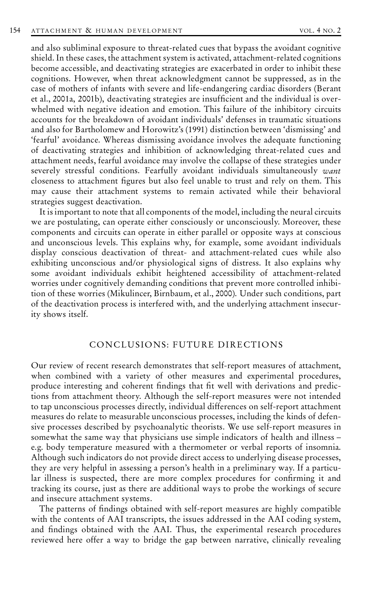and also subliminal exposure to threat-related cues that bypass the avoidant cognitive shield. In these cases, the attachment system is activated, attachment-related cognitions become accessible, and deactivating strategies are exacerbated in order to inhibit these cognitions. However, when threat acknowledgment cannot be suppressed, as in the case of mothers of infants with severe and life-endangering cardiac disorders (Berant et al., 2001a, 2001b), deactivating strategies are insufficient and the individual is overwhelmed with negative ideation and emotion. This failure of the inhibitory circuits accounts for the breakdown of avoidant individuals' defenses in traumatic situations and also for Bartholomew and Horowitz's (1991) distinction between 'dismissing' and 'fearful' avoidance. Whereas dismissing avoidance involves the adequate functioning of deactivating strategies and inhibition of acknowledging threat-related cues and attachment needs, fearful avoidance may involve the collapse of these strategies under severely stressful conditions. Fearfully avoidant individuals simultaneously *want* closeness to attachment gures but also feel unable to trust and rely on them. This may cause their attachment systems to remain activated while their behavioral strategies suggest deactivation.

It is important to note that all components of the model, including the neural circuits we are postulating, can operate either consciously or unconsciously. Moreover, these components and circuits can operate in either parallel or opposite ways at conscious and unconscious levels. This explains why, for example, some avoidant individuals display conscious deactivation of threat- and attachment-related cues while also exhibiting unconscious and/or physiological signs of distress. It also explains why some avoidant individuals exhibit heightened accessibility of attachment-related worries under cognitively demanding conditions that prevent more controlled inhibition of these worries (Mikulincer, Birnbaum, et al., 2000). Under such conditions, part of the deactivation process is interfered with, and the underlying attachment insecurity shows itself.

## CONCLUSIONS: FUTURE DIRECTIONS

Our review of recent research demonstrates that self-report measures of attachment, when combined with a variety of other measures and experimental procedures, produce interesting and coherent findings that fit well with derivations and predictions from attachment theory. Although the self-report measures were not intended to tap unconscious processes directly, individual differences on self-report attachment measures do relate to measurable unconscious processes, including the kinds of defensive processes described by psychoanalytic theorists. We use self-report measures in somewhat the same way that physicians use simple indicators of health and illness – e.g. body temperature measured with a thermometer or verbal reports of insomnia. Although such indicators do not provide direct access to underlying disease processes, they are very helpful in assessing a person's health in a preliminary way. If a particular illness is suspected, there are more complex procedures for confirming it and tracking its course, just as there are additional ways to probe the workings of secure and insecure attachment systems.

The patterns of findings obtained with self-report measures are highly compatible with the contents of AAI transcripts, the issues addressed in the AAI coding system, and findings obtained with the AAI. Thus, the experimental research procedures reviewed here offer a way to bridge the gap between narrative, clinically revealing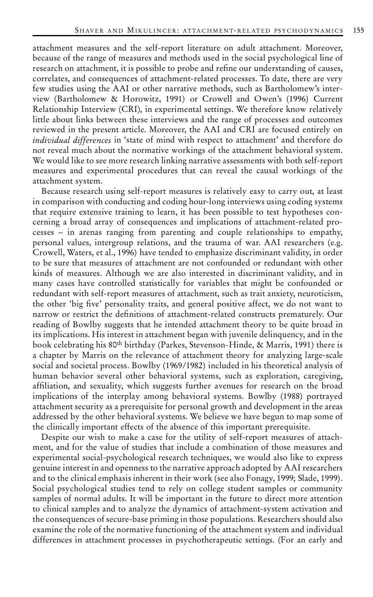attachment measures and the self-report literature on adult attachment. Moreover, because of the range of measures and methods used in the social psychological line of research on attachment, it is possible to probe and refine our understanding of causes, correlates, and consequences of attachment-related processes. To date, there are very few studies using the AAI or other narrative methods, such as Bartholomew's inter view (Bartholomew & Horowitz, 1991) or Crowell and Owen's (1996) Current Relationship Interview (CRI), in experimental settings. We therefore know relatively little about links between these interviews and the range of processes and outcomes reviewed in the present article. Moreover, the AAI and CRI are focused entirely on *individual differences* in 'state of mind with respect to attachment' and therefore do not reveal much about the normative workings of the attachment behavioral system. We would like to see more research linking narrative assessments with both self-report measures and experimental procedures that can reveal the causal workings of the attachment system.

Because research using self-report measures is relatively easy to carry out, at least in comparison with conducting and coding hour-long interviews using coding systems that require extensive training to learn, it has been possible to test hypotheses con cerning a broad array of consequences and implications of attachment-related pro cesses – in arenas ranging from parenting and couple relationships to empathy, personal values, intergroup relations, and the trauma of war. AAI researchers (e.g. Crowell, Waters, et al., 1996) have tended to emphasize discriminant validity, in order to be sure that measures of attachment are not confounded or redundant with other kinds of measures. Although we are also interested in discriminant validity, and in many cases have controlled statistically for variables that might be confounded or redundant with self-report measures of attachment, such as trait anxiety, neuroticism, the other 'big five' personality traits, and general positive affect, we do not want to narrow or restrict the definitions of attachment-related constructs prematurely. Our reading of Bowlby suggests that he intended attachment theory to be quite broad in its implications. His interest in attachment began with juvenile delinquency, and in the book celebrating his 80th birthday (Parkes, Stevenson-Hinde, & Marris, 1991) there is a chapter by Marris on the relevance of attachment theory for analyzing large-scale social and societal process. Bowlby (1969/1982) included in his theoretical analysis of human behavior several other behavioral systems, such as exploration, caregiving, afliation, and sexuality, which suggests further avenues for research on the broad implications of the interplay among behavioral systems. Bowlby (1988) portrayed attachment security as a prerequisite for personal growth and development in the areas addressed by the other behavioral systems. We believe we have begun to map some of the clinically important effects of the absence of this important prerequisite.

Despite our wish to make a case for the utility of self-report measures of attach ment, and for the value of studies that include a combination of those measures and experimental social-psychological research techniques, we would also like to express genuine interest in and openness to the narrative approach adopted by AAI researchers and to the clinical emphasis inherent in their work (see also Fonagy, 1999; Slade, 1999). Social psychological studies tend to rely on college student samples or community samples of normal adults. It will be important in the future to direct more attention to clinical samples and to analyze the dynamics of attachment-system activation and the consequences of secure-base priming in those populations. Researchers should also examine the role of the normative functioning of the attachment system and individual differences in attachment processes in psychotherapeutic settings. (For an early and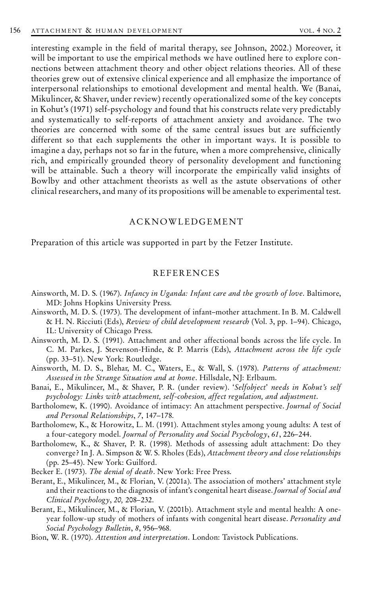interesting example in the field of marital therapy, see Johnson, 2002.) Moreover, it will be important to use the empirical methods we have outlined here to explore con nections between attachment theory and other object relations theories. All of these theories grew out of extensive clinical experience and all emphasize the importance of interpersonal relationships to emotional development and mental health. We (Banai, Mikulincer, & Shaver, under review) recently operationalized some of the key concepts in Kohut's (1971) self-psychology and found that his constructs relate very predictably and systematically to self-reports of attachment anxiety and avoidance. The two theories are concerned with some of the same central issues but are sufficiently different so that each supplements the other in important ways. It is possible to imagine a day, perhaps not so far in the future, when a more comprehensive, clinically rich, and empirically grounded theory of personality development and functioning will be attainable. Such a theory will incorporate the empirically valid insights of Bowlby and other attachment theorists as well as the astute observations of other clinical researchers, and many of its propositions will be amenable to experimental test.

#### ACKNOWLEDGEMENT

Preparation of this article was supported in part by the Fetzer Institute.

## REFERENCES

- Ainsworth, M. D. S. (1967). *Infancy in Uganda: Infant care and the growth of love*. Baltimore, MD: Johns Hopkins University Press.
- Ainsworth, M. D. S. (1973). The development of infant–mother attachment. In B. M. Caldwell & H. N. Ricciuti (Eds), *Review of child development research* (Vol. 3, pp. 1–94). Chicago, IL: University of Chicago Press.
- Ainsworth, M. D. S. (1991). Attachment and other affectional bonds across the life cycle. In C. M. Parkes, J. Stevenson-Hinde, & P. Marris (Eds), *Attachment across the life cycle* (pp. 33–51). New York: Routledge.
- Ainsworth, M. D. S., Blehar, M. C., Waters, E., & Wall, S. (1978). *Patterns of attachment: Assessed in the Strange Situation and at home*. Hillsdale, NJ: Erlbaum.
- Banai, E., Mikulincer, M., & Shaver, P. R. (under review). '*Selfobject*' *needs in Kohut's self psychology: Links with attachment, self-cohesion, affect regulation, and adjustment*.
- Bartholomew, K. (1990). Avoidance of intimacy: An attachment perspective. *Journal of Social and Personal Relationships*, *7*, 147–178.
- Bartholomew, K., & Horowitz, L. M. (1991). Attachment styles among young adults: A test of a four-category model. *Journal of Personality and Social Psychology*, *61*, 226–244.
- Bartholomew, K., & Shaver, P. R. (1998). Methods of assessing adult attachment: Do they converge? In J. A. Simpson & W. S. Rholes (Eds), *Attachment theory and close relationships* (pp. 25–45). New York: Guilford.
- Becker E. (1973). *The denial of death*. New York: Free Press.
- Berant, E., Mikulincer, M., & Florian, V. (2001a). The association of mothers' attachment style and their reactions to the diagnosis of infant's congenital heart disease. *Journal of Social and Clinical Psychology*, *20,* 208–232.
- Berant, E., Mikulincer, M., & Florian, V. (2001b). Attachment style and mental health: A one year follow-up study of mothers of infants with congenital heart disease. *Personality and Social Psychology Bulletin*, *8*, 956–968*.*
- Bion, W. R. (1970). *Attention and interpretation*. London: Tavistock Publications.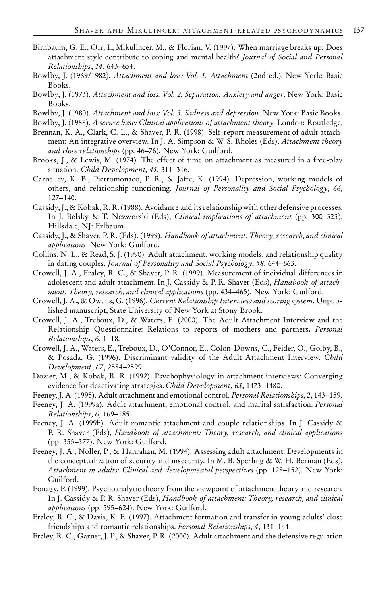- Birnbaum, G. E., Orr, I., Mikulincer, M., & Florian, V. (1997). When marriage breaks up: Does attachment style contribute to coping and mental health*? Journal of Social and Personal Relationships*, *14*, 643–654.
- Bowlby, J. (1969/1982). *Attachment and loss: Vol. 1. Attachment* (2nd ed.). New York: Basic Books.
- Bowlby, J. (1973). *Attachment and loss: Vol. 2. Separation: Anxiety and anger*. New York: Basic Books.
- Bowlby, J. (1980). *Attachment and loss: Vol. 3. Sadness and depression*. New York: Basic Books.
- Bowlby, J. (1988). *A secure base: Clinical applications of attachment theory*. London: Routledge.
- Brennan, K. A., Clark, C. L., & Shaver, P. R. (1998). Self-report measurement of adult attach ment: An integrative overview. In J. A. Simpson & W. S. Rholes (Eds), *Attachment theory and close relationships* (pp. 46–76). New York: Guilford.
- Brooks, J., & Lewis, M. (1974). The effect of time on attachment as measured in a free-play situation. *Child Development*, *45*, 311–316.
- Carnelley, K. B., Pietromonaco, P. R., & Jaffe, K. (1994). Depression, working models of others, and relationship functioning. *Journal of Personality and Social Psychology*, *66*, 127–140.
- Cassidy, J., & Kobak, R. R. (1988). Avoidance and its relationship with other defensive processes. In J. Belsky & T. Nezworski (Eds), *Clinical implications of attachment* (pp. 300–323). Hillsdale, NJ: Erlbaum.
- Cassidy, J., & Shaver, P. R. (Eds). (1999). *Handbook of attachment: Theory, research, and clinical applications*. New York: Guilford.
- Collins, N. L., & Read, S. J. (1990). Adult attachment, working models, and relationship quality in dating couples. *Journal of Personality and Social Psychology*, *58*, 644–663.
- Crowell, J. A., Fraley, R. C., & Shaver, P. R. (1999). Measurement of individual differences in adolescent and adult attachment. In J. Cassidy & P. R. Shaver (Eds), *Handbook of attach ment: Theory, research, and clinical applications* (pp. 434–465). New York: Guilford.
- Crowell, J. A., & Owens, G. (1996). *Current Relationship Interview and scoring system*. Unpublished manuscript, State University of New York at Stony Brook.
- Crowell, J. A., Treboux, D., & Waters, E. (2000). The Adult Attachment Interview and the Relationship Questionnaire: Relations to reports of mothers and partners**.** *Personal Relationships*, *6*, 1–18.
- Crowell, J. A., Waters, E., Treboux, D., O'Connor, E., Colon-Downs, C., Feider, O., Golby, B., & Posada, G. (1996). Discriminant validity of the Adult Attachment Interview. *Child Development*, *67*, 2584–2599.
- Dozier, M., & Kobak, R. R. (1992). Psychophysiology in attachment interviews: Converging evidence for deactivating strategies. *Child Development*, *63*, 1473–1480.
- Feeney, J. A. (1995). Adult attachment and emotional control. *Personal Relationships*, *2*, 143–159.
- Feeney, J. A. (1999a). Adult attachment, emotional control, and marital satisfaction. *Personal Relationships*, *6*, 169–185.
- Feeney, J. A. (1999b). Adult romantic attachment and couple relationships. In J. Cassidy & P. R. Shaver (Eds), *Handbook of attachment: Theory, research, and clinical applications* (pp. 355–377). New York: Guilford.
- Feeney, J. A., Noller, P., & Hanrahan, M. (1994). Assessing adult attachment: Developments in the conceptualization of security and insecurity. In M. B. Sperling & W. H. Berman (Eds), *Attachment in adults: Clinical and developmental perspectives* (pp. 128–152). New York: Guilford.
- Fonagy, P. (1999). Psychoanalytic theory from the viewpoint of attachment theory and research. In J. Cassidy & P. R. Shaver (Eds), *Handbook of attachment: Theory, research, and clinical applications* (pp. 595–624). New York: Guilford.
- Fraley, R. C., & Davis, K. E. (1997). Attachment formation and transfer in young adults' close friendships and romantic relationships. *Personal Relationships*, *4*, 131–144.
- Fraley, R. C., Garner, J. P., & Shaver, P. R. (2000). Adult attachment and the defensive regulation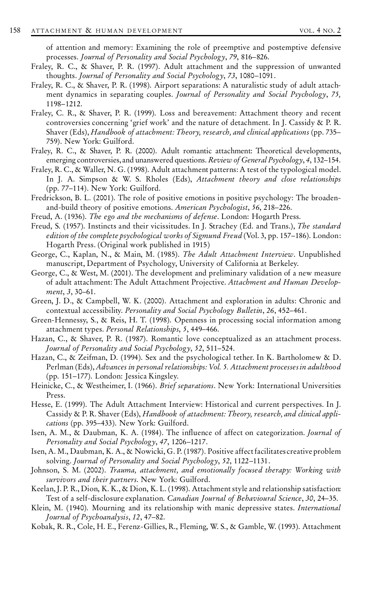of attention and memory: Examining the role of preemptive and postemptive defensive processes. *Journal of Personality and Social Psychology*, *79*, 816–826.

- Fraley, R. C., & Shaver, P. R. (1997). Adult attachment and the suppression of unwanted thoughts. *Journal of Personality and Social Psychology*, *73*, 1080–1091.
- Fraley, R. C., & Shaver, P. R. (1998). Airport separations: A naturalistic study of adult attach ment dynamics in separating couples. *Journal of Personality and Social Psychology*, *75,* 1198–1212.
- Fraley, C. R., & Shaver, P. R. (1999). Loss and bereavement: Attachment theory and recent controversies concerning 'grief work' and the nature of detachment. In J. Cassidy & P. R. Shaver (Eds), *Handbook of attachment: Theory, research, and clinical applications* (pp. 735– 759). New York: Guilford.
- Fraley, R. C., & Shaver, P. R. (2000). Adult romantic attachment: Theoretical developments, emerging controversies, and unanswered questions. *Review of General Psychology*, *4*, 132–154.
- Fraley, R. C., & Waller, N. G. (1998). Adult attachment patterns: A test of the typological model. In J. A. Simpson & W. S. Rholes (Eds), *Attachment theory and close relationships* (pp. 77–114). New York: Guilford.
- Fredrickson, B. L. (2001). The role of positive emotions in positive psychology: The broaden and-build theory of positive emotions. *American Psychologist*, *56*, 218–226.
- Freud, A. (1936). *The ego and the mechanisms of defense*. London: Hogarth Press.
- Freud, S. (1957). Instincts and their vicissitudes. In J. Strachey (Ed. and Trans.), *The standard edition of the complete psychological works of Sigmund Freud* (Vol. 3, pp. 157–186). London: Hogarth Press. (Original work published in 1915)
- George, C., Kaplan, N., & Main, M. (1985). *The Adult Attachment Interview*. Unpublished manuscript, Department of Psychology, University of California at Berkeley.
- George, C., & West, M. (2001). The development and preliminary validation of a new measure of adult attachment: The Adult Attachment Projective. *Attachment and Human Develop ment*, *3*, 30–61.
- Green, J. D., & Campbell, W. K. (2000). Attachment and exploration in adults: Chronic and contextual accessibility. *Personality and Social Psychology Bulletin*, *26*, 452–461.
- Green-Hennessy, S., & Reis, H. T. (1998). Openness in processing social information among attachment types. *Personal Relationships*, *5*, 449–466.
- Hazan, C., & Shaver, P. R. (1987). Romantic love conceptualized as an attachment process. *Journal of Personality and Social Psychology*, *52*, 511–524.
- Hazan, C., & Zeifman, D. (1994). Sex and the psychological tether. In K. Bartholomew & D. Perlman (Eds), *Advances in personal relationships: Vol. 5. Attachment processes in adulthood* (pp. 151–177). London: Jessica Kingsley.
- Heinicke, C., & Westheimer, I. (1966). *Brief separations*. New York: International Universities Press.
- Hesse, E. (1999). The Adult Attachment Interview: Historical and current perspectives. In J. Cassidy & P. R. Shaver (Eds), *Handbook of attachment: Theory, research, and clinical applications* (pp. 395–433). New York: Guilford.
- Isen, A. M., & Daubman, K. A. (1984). The influence of affect on categorization. *Journal of Personality and Social Psychology*, *47*, 1206–1217.
- Isen, A. M., Daubman, K. A., & Nowicki, G. P. (1987). Positive affect facilitates creative problem solving. *Journal of Personality and Social Psychology*, *52*, 1122–1131.
- Johnson, S. M. (2002). *Trauma, attachment, and emotionally focused therapy: Working with survivors and their partners*. New York: Guilford.
- Keelan, J. P. R., Dion, K. K., & Dion, K. L. (1998). Attachment style and relationship satisfaction: Test of a self-disclosure explanation. *Canadian Journal of Behavioural Science*, *30*, 24–35.
- Klein, M. (1940). Mourning and its relationship with manic depressive states. *International Journal of Psychoanalysis*, *12*, 47–82.
- Kobak, R. R., Cole, H. E., Ferenz-Gillies, R., Fleming, W. S., & Gamble, W. (1993). Attachment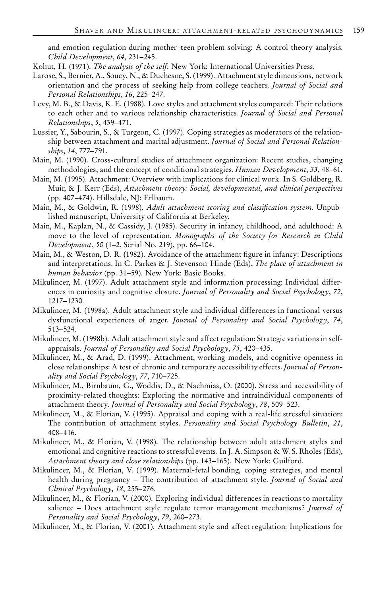and emotion regulation during mother–teen problem solving: A control theory analysis. *Child Development*, *64*, 231–245.

- Kohut, H. (1971). *The analysis of the self*. New York: International Universities Press.
- Larose, S., Bernier, A., Soucy, N., & Duchesne, S. (1999). Attachment style dimensions, network orientation and the process of seeking help from college teachers. *Journal of Social and Personal Relationships*, *16*, 225–247.
- Levy, M. B., & Davis, K. E. (1988). Love styles and attachment styles compared: Their relations to each other and to various relationship characteristics. *Journal of Social and Personal Relationships*, *5*, 439–471.
- Lussier, Y., Sabourin, S., & Turgeon, C. (1997). Coping strategies as moderators of the relationship between attachment and marital adjustment. *Journal of Social and Personal Relationships*, *14*, 777–791.
- Main, M. (1990). Cross-cultural studies of attachment organization: Recent studies, changing methodologies, and the concept of conditional strategies. *Human Development*, *33*, 48–61.
- Main, M. (1995). Attachment: Overview with implications for clinical work. In S. Goldberg, R. Muir, & J. Kerr (Eds), *Attachment theory: Social, developmental, and clinical perspectives* (pp. 407–474). Hillsdale, NJ: Erlbaum.
- Main, M., & Goldwin, R. (1998). *Adult attachment scoring and classification system*. Unpublished manuscript, University of California at Berkeley.
- Main, M., Kaplan, N., & Cassidy, J. (1985). Security in infancy, childhood, and adulthood: A move to the level of representation. *Monographs of the Society for Research in Child Development*, *50* (1–2, Serial No. 219), pp. 66–104.
- Main, M., & Weston, D. R. (1982). Avoidance of the attachment figure in infancy: Descriptions and interpretations. In C. Parkes & J. Stevenson-Hinde (Eds), *The place of attachment in human behavior* (pp. 31–59). New York: Basic Books.
- Mikulincer, M. (1997). Adult attachment style and information processing: Individual differ ences in curiosity and cognitive closure. *Journal of Personality and Social Psychology*, *72*, 1217–1230*.*
- Mikulincer, M. (1998a). Adult attachment style and individual differences in functional versus dysfunctional experiences of anger. *Journal of Personality and Social Psychology*, *74*, 513–524*.*
- Mikulincer, M. (1998b). Adult attachment style and affect regulation: Strategic variations in self appraisals. *Journal of Personality and Social Psychology*, *75*, 420–435.
- Mikulincer, M., & Arad, D. (1999). Attachment, working models, and cognitive openness in close relationships: A test of chronic and temporary accessibility effects. *Journal of Person ality and Social Psychology*, *77*, 710–725.
- Mikulincer, M., Birnbaum, G., Woddis, D., & Nachmias, O. (2000). Stress and accessibility of proximity-related thoughts: Exploring the normative and intraindividual components of attachment theory. *Journal of Personality and Social Psychology*, *78*, 509–523.
- Mikulincer, M., & Florian, V. (1995). Appraisal and coping with a real-life stressful situation: The contribution of attachment styles. *Personality and Social Psychology Bulletin*, *21*, 408–416.
- Mikulincer, M., & Florian, V. (1998). The relationship between adult attachment styles and emotional and cognitive reactions to stressful events. In J. A. Simpson & W. S. Rholes (Eds), *Attachment theory and close relationships* (pp. 143–165). New York: Guilford.
- Mikulincer, M., & Florian, V. (1999). Maternal-fetal bonding, coping strategies, and mental health during pregnancy – The contribution of attachment style. *Journal of Social and Clinical Psychology*, *18*, 255–276*.*
- Mikulincer, M., & Florian, V. (2000). Exploring individual differences in reactions to mortality salience – Does attachment style regulate terror management mechanisms? *Journal of Personality and Social Psychology*, *79*, 260–273.
- Mikulincer, M., & Florian, V. (2001). Attachment style and affect regulation: Implications for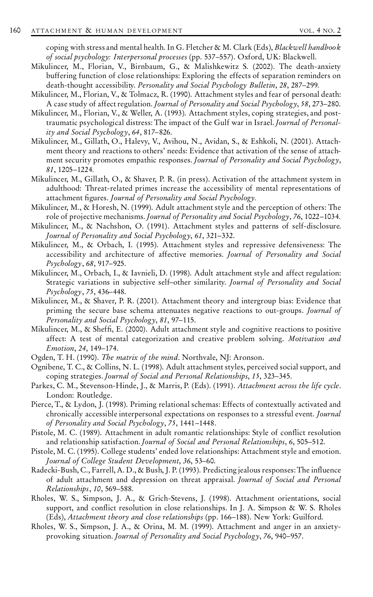coping with stress and mental health. In G. Fletcher & M. Clark (Eds), *Blackwell handbook of social psychology: Interpersonal processes* (pp. 537–557). Oxford, UK: Blackwell.

- Mikulincer, M., Florian, V., Birnbaum, G., & Malishkewitz S. (2002). The death-anxiety buffering function of close relationships: Exploring the effects of separation reminders on death-thought accessibility. *Personality and Social Psychology Bulletin*, *28*, 287–299*.*
- Mikulincer, M., Florian, V., & Tolmacz, R. (1990). Attachment styles and fear of personal death: A case study of affect regulation. *Journal of Personality and Social Psychology*, *58*, 273–280.
- Mikulincer, M., Florian, V., & Weller, A. (1993). Attachment styles, coping strategies, and posttraumatic psychological distress: The impact of the Gulf war in Israel. *Journal of Personality and Social Psychology*, *64*, 817–826.
- Mikulincer, M., Gillath, O., Halevy, V., Avihou, N., Avidan, S., & Eshkoli, N. (2001). Attach ment theory and reactions to others' needs: Evidence that activation of the sense of attach ment security promotes empathic responses. *Journal of Personality and Social Psychology*, *81*, 1205–1224*.*
- Mikulincer, M., Gillath, O., & Shaver, P. R. (in press). Activation of the attachment system in adulthood: Threat-related primes increase the accessibility of mental representations of attachment figures. *Journal of Personality and Social Psychology*.
- Mikulincer, M., & Horesh, N. (1999). Adult attachment style and the perception of others: The role of projective mechanisms. *Journal of Personality and Social Psychology*, *76*, 1022–1034*.*
- Mikulincer, M., & Nachshon, O. (1991). Attachment styles and patterns of self-disclosure. *Journal of Personality and Social Psychology*, *61*, 321–332.
- Mikulincer, M., & Orbach, I. (1995). Attachment styles and repressive defensiveness: The accessibility and architecture of affective memories. *Journal of Personality and Social Psychology*, *68*, 917–925.
- Mikulincer, M., Orbach, I., & Iavnieli, D. (1998). Adult attachment style and affect regulation: Strategic variations in subjective self–other similarity. *Journal of Personality and Social Psychology*, *75*, 436–448.
- Mikulincer, M., & Shaver, P. R. (2001). Attachment theory and intergroup bias: Evidence that priming the secure base schema attenuates negative reactions to out-groups. *Journal of Personality and Social Psychology*, *81*, 97–115.
- Mikulincer, M., & Sheffi, E. (2000). Adult attachment style and cognitive reactions to positive affect: A test of mental categorization and creative problem solving. *Motivation and Emotion*, *24*, 149–174.
- Ogden, T. H. (1990). *The matrix of the mind*. Northvale, NJ: Aronson.
- Ognibene, T. C., & Collins, N. L. (1998). Adult attachment styles, perceived social support, and coping strategies. *Journal of Social and Personal Relationships*, *15*, 323–345.
- Parkes, C. M., Stevenson-Hinde, J., & Marris, P. (Eds). (1991). *Attachment across the life cycle*. London: Routledge.
- Pierce, T., & Lydon, J. (1998). Priming relational schemas: Effects of contextually activated and chronically accessible interpersonal expectations on responses to a stressful event. *Journal of Personality and Social Psychology*, *75*, 1441–1448.
- Pistole, M. C. (1989). Attachment in adult romantic relationships: Style of conflict resolution and relationship satisfaction. *Journal of Social and Personal Relationships*, *6*, 505–512.
- Pistole, M. C. (1995). College students' ended love relationships: Attachment style and emotion. *Journal of College Student Development*, *36*, 53–60.
- Radecki-Bush, C., Farrell, A. D., & Bush, J. P. (1993). Predicting jealous responses: The inuence of adult attachment and depression on threat appraisal. *Journal of Social and Personal Relationships*, *10*, 569–588.
- Rholes, W. S., Simpson, J. A., & Grich-Stevens, J. (1998). Attachment orientations, social support, and conflict resolution in close relationships. In J. A. Simpson & W. S. Rholes (Eds), *Attachment theory and close relationships* (pp. 166–188). New York: Guilford.
- Rholes, W. S., Simpson, J. A., & Orina, M. M. (1999). Attachment and anger in an anxiety provoking situation. *Journal of Personality and Social Psychology*, *76*, 940–957.